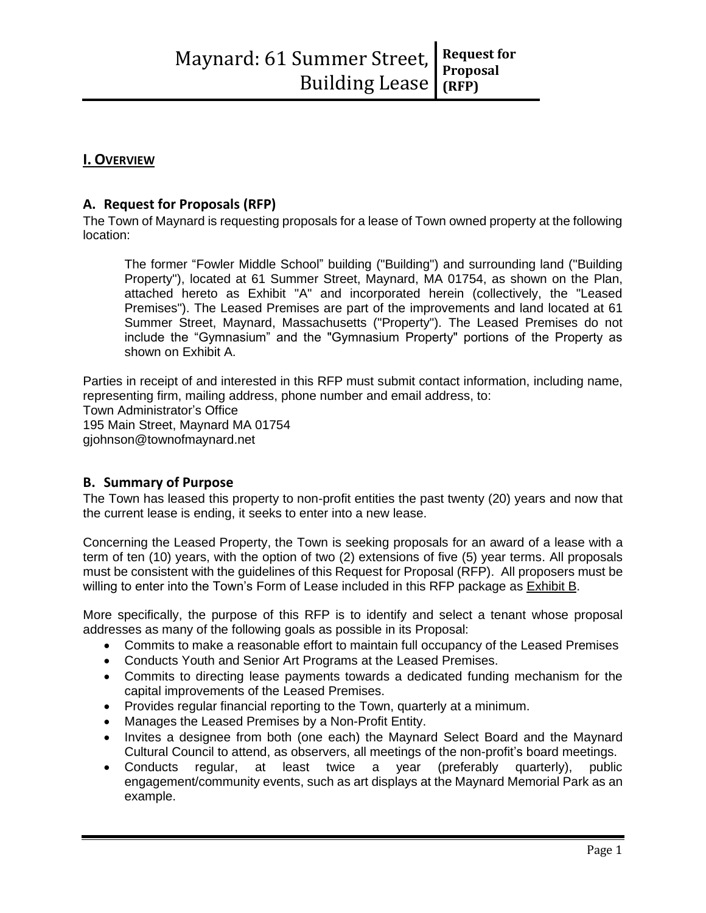# **I. OVERVIEW**

# **A. Request for Proposals (RFP)**

The Town of Maynard is requesting proposals for a lease of Town owned property at the following location:

The former "Fowler Middle School" building ("Building") and surrounding land ("Building Property"), located at 61 Summer Street, Maynard, MA 01754, as shown on the Plan, attached hereto as Exhibit "A" and incorporated herein (collectively, the "Leased Premises"). The Leased Premises are part of the improvements and land located at 61 Summer Street, Maynard, Massachusetts ("Property"). The Leased Premises do not include the "Gymnasium" and the "Gymnasium Property" portions of the Property as shown on Exhibit A.

Parties in receipt of and interested in this RFP must submit contact information, including name, representing firm, mailing address, phone number and email address, to: Town Administrator's Office 195 Main Street, Maynard MA 01754 gjohnson@townofmaynard.net

# **B. Summary of Purpose**

The Town has leased this property to non-profit entities the past twenty (20) years and now that the current lease is ending, it seeks to enter into a new lease.

Concerning the Leased Property, the Town is seeking proposals for an award of a lease with a term of ten (10) years, with the option of two (2) extensions of five (5) year terms. All proposals must be consistent with the guidelines of this Request for Proposal (RFP). All proposers must be willing to enter into the Town's Form of Lease included in this RFP package as Exhibit B.

More specifically, the purpose of this RFP is to identify and select a tenant whose proposal addresses as many of the following goals as possible in its Proposal:

- Commits to make a reasonable effort to maintain full occupancy of the Leased Premises
- Conducts Youth and Senior Art Programs at the Leased Premises.
- Commits to directing lease payments towards a dedicated funding mechanism for the capital improvements of the Leased Premises.
- Provides regular financial reporting to the Town, quarterly at a minimum.
- Manages the Leased Premises by a Non-Profit Entity.
- Invites a designee from both (one each) the Maynard Select Board and the Maynard Cultural Council to attend, as observers, all meetings of the non-profit's board meetings.
- Conducts regular, at least twice a year (preferably quarterly), public engagement/community events, such as art displays at the Maynard Memorial Park as an example.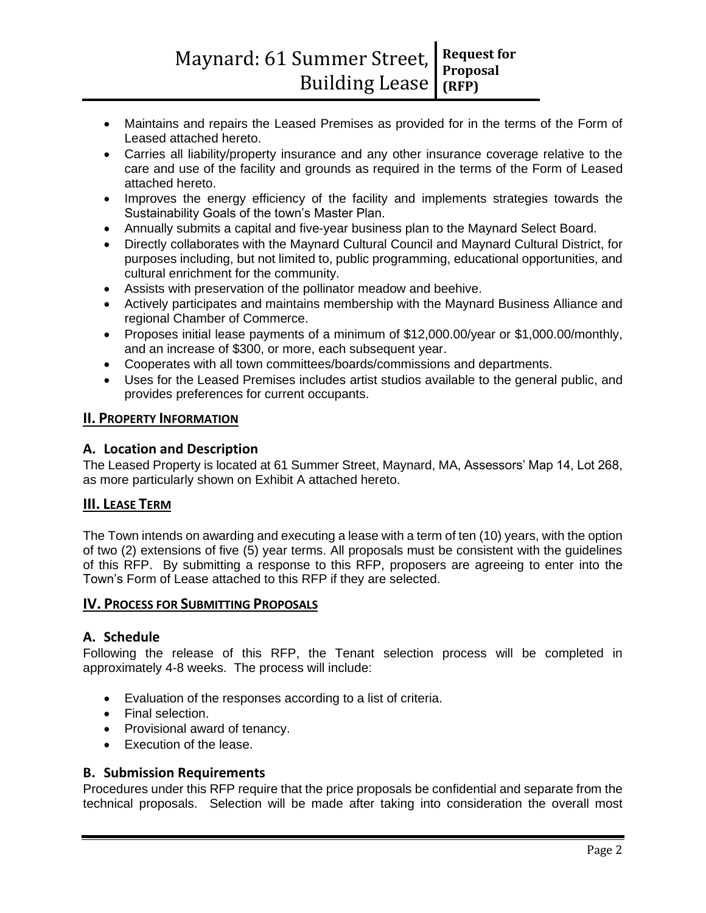- Maintains and repairs the Leased Premises as provided for in the terms of the Form of Leased attached hereto.
- Carries all liability/property insurance and any other insurance coverage relative to the care and use of the facility and grounds as required in the terms of the Form of Leased attached hereto.
- Improves the energy efficiency of the facility and implements strategies towards the Sustainability Goals of the town's Master Plan.
- Annually submits a capital and five-year business plan to the Maynard Select Board.
- Directly collaborates with the Maynard Cultural Council and Maynard Cultural District, for purposes including, but not limited to, public programming, educational opportunities, and cultural enrichment for the community.
- Assists with preservation of the pollinator meadow and beehive.
- Actively participates and maintains membership with the Maynard Business Alliance and regional Chamber of Commerce.
- Proposes initial lease payments of a minimum of \$12,000.00/year or \$1,000.00/monthly, and an increase of \$300, or more, each subsequent year.
- Cooperates with all town committees/boards/commissions and departments.
- Uses for the Leased Premises includes artist studios available to the general public, and provides preferences for current occupants.

### **II. PROPERTY INFORMATION**

### **A. Location and Description**

The Leased Property is located at 61 Summer Street, Maynard, MA, Assessors' Map 14, Lot 268, as more particularly shown on Exhibit A attached hereto.

### **III. LEASE TERM**

The Town intends on awarding and executing a lease with a term of ten (10) years, with the option of two (2) extensions of five (5) year terms. All proposals must be consistent with the guidelines of this RFP. By submitting a response to this RFP, proposers are agreeing to enter into the Town's Form of Lease attached to this RFP if they are selected.

### **IV. PROCESS FOR SUBMITTING PROPOSALS**

### **A. Schedule**

Following the release of this RFP, the Tenant selection process will be completed in approximately 4-8 weeks. The process will include:

- Evaluation of the responses according to a list of criteria.
- Final selection.
- Provisional award of tenancy.
- Execution of the lease.

### **B. Submission Requirements**

Procedures under this RFP require that the price proposals be confidential and separate from the technical proposals. Selection will be made after taking into consideration the overall most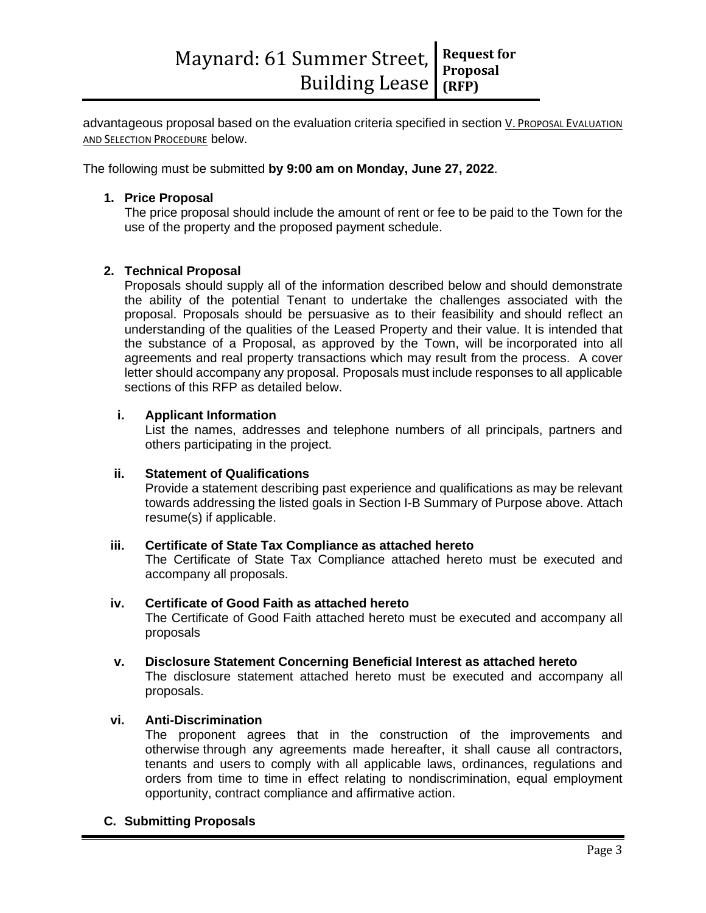advantageous proposal based on the evaluation criteria specified in section V. PROPOSAL EVALUATION AND SELECTION PROCEDURE below.

The following must be submitted **by 9:00 am on Monday, June 27, 2022**.

### **1. Price Proposal**

The price proposal should include the amount of rent or fee to be paid to the Town for the use of the property and the proposed payment schedule.

### **2. Technical Proposal**

Proposals should supply all of the information described below and should demonstrate the ability of the potential Tenant to undertake the challenges associated with the proposal. Proposals should be persuasive as to their feasibility and should reflect an understanding of the qualities of the Leased Property and their value. It is intended that the substance of a Proposal, as approved by the Town, will be incorporated into all agreements and real property transactions which may result from the process. A cover letter should accompany any proposal. Proposals must include responses to all applicable sections of this RFP as detailed below.

### **i. Applicant Information**

List the names, addresses and telephone numbers of all principals, partners and others participating in the project.

### **ii. Statement of Qualifications**

Provide a statement describing past experience and qualifications as may be relevant towards addressing the listed goals in Section I-B Summary of Purpose above. Attach resume(s) if applicable.

### **iii. Certificate of State Tax Compliance as attached hereto**

The Certificate of State Tax Compliance attached hereto must be executed and accompany all proposals.

### **iv. Certificate of Good Faith as attached hereto**

The Certificate of Good Faith attached hereto must be executed and accompany all proposals

**v. Disclosure Statement Concerning Beneficial Interest as attached hereto** The disclosure statement attached hereto must be executed and accompany all proposals.

### **vi. Anti-Discrimination**

The proponent agrees that in the construction of the improvements and otherwise through any agreements made hereafter, it shall cause all contractors, tenants and users to comply with all applicable laws, ordinances, regulations and orders from time to time in effect relating to nondiscrimination, equal employment opportunity, contract compliance and affirmative action.

### **C. Submitting Proposals**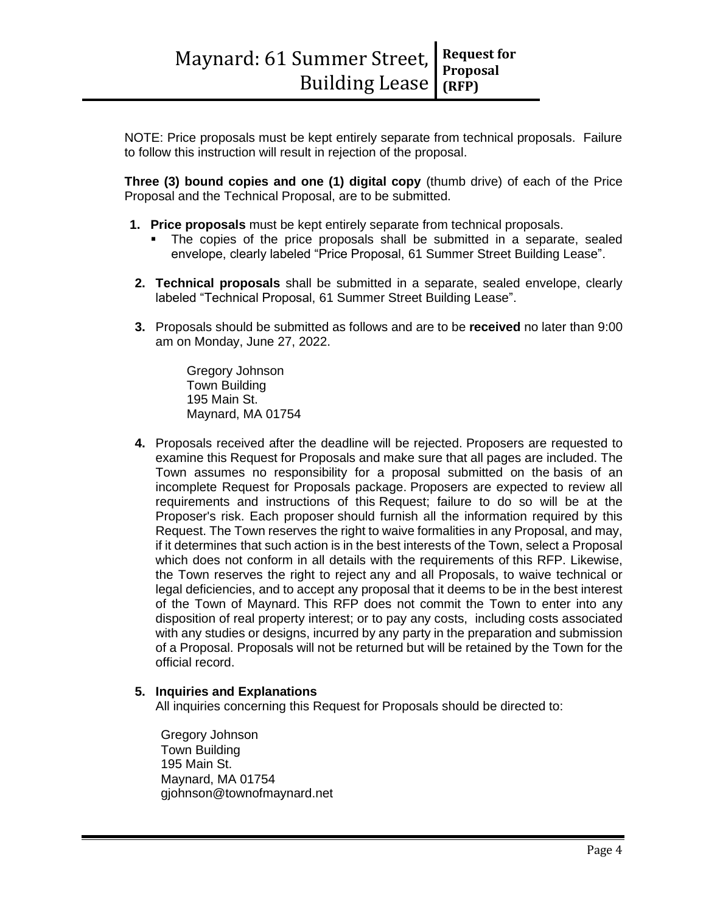NOTE: Price proposals must be kept entirely separate from technical proposals. Failure to follow this instruction will result in rejection of the proposal.

**Three (3) bound copies and one (1) digital copy** (thumb drive) of each of the Price Proposal and the Technical Proposal, are to be submitted.

- **1. Price proposals** must be kept entirely separate from technical proposals.
	- The copies of the price proposals shall be submitted in a separate, sealed envelope, clearly labeled "Price Proposal, 61 Summer Street Building Lease".
- **2. Technical proposals** shall be submitted in a separate, sealed envelope, clearly labeled "Technical Proposal, 61 Summer Street Building Lease".
- **3.** Proposals should be submitted as follows and are to be **received** no later than 9:00 am on Monday, June 27, 2022.

Gregory Johnson Town Building 195 Main St. Maynard, MA 01754

**4.** Proposals received after the deadline will be rejected. Proposers are requested to examine this Request for Proposals and make sure that all pages are included. The Town assumes no responsibility for a proposal submitted on the basis of an incomplete Request for Proposals package. Proposers are expected to review all requirements and instructions of this Request; failure to do so will be at the Proposer's risk. Each proposer should furnish all the information required by this Request. The Town reserves the right to waive formalities in any Proposal, and may, if it determines that such action is in the best interests of the Town, select a Proposal which does not conform in all details with the requirements of this RFP. Likewise, the Town reserves the right to reject any and all Proposals, to waive technical or legal deficiencies, and to accept any proposal that it deems to be in the best interest of the Town of Maynard. This RFP does not commit the Town to enter into any disposition of real property interest; or to pay any costs, including costs associated with any studies or designs, incurred by any party in the preparation and submission of a Proposal. Proposals will not be returned but will be retained by the Town for the official record.

### **5. Inquiries and Explanations**

All inquiries concerning this Request for Proposals should be directed to:

Gregory Johnson Town Building 195 Main St. Maynard, MA 01754 gjohnson@townofmaynard.net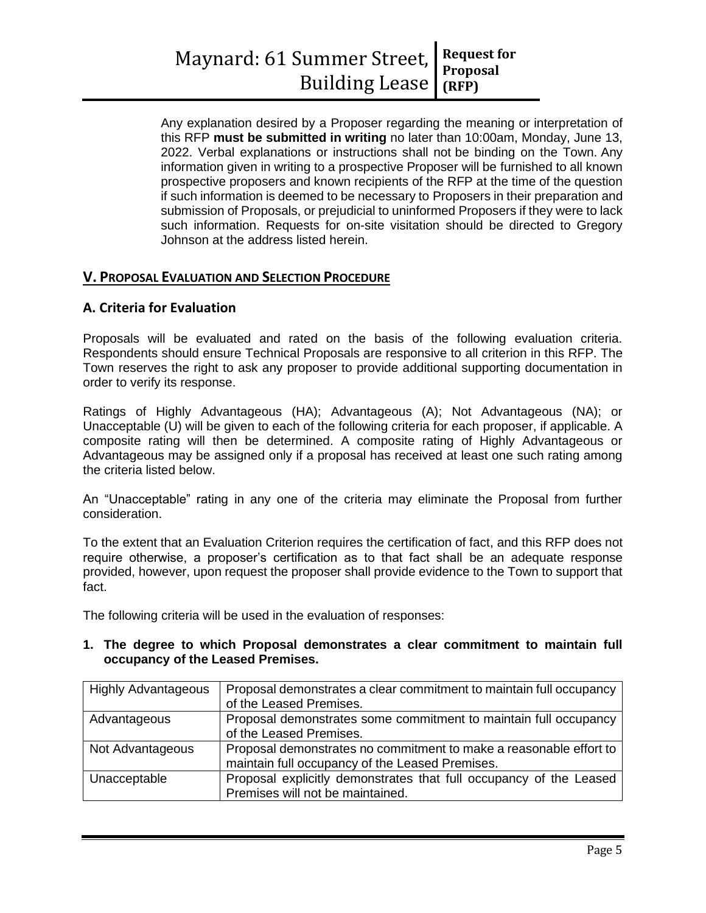Any explanation desired by a Proposer regarding the meaning or interpretation of this RFP **must be submitted in writing** no later than 10:00am, Monday, June 13, 2022. Verbal explanations or instructions shall not be binding on the Town. Any information given in writing to a prospective Proposer will be furnished to all known prospective proposers and known recipients of the RFP at the time of the question if such information is deemed to be necessary to Proposers in their preparation and submission of Proposals, or prejudicial to uninformed Proposers if they were to lack such information. Requests for on-site visitation should be directed to Gregory Johnson at the address listed herein.

# **V. PROPOSAL EVALUATION AND SELECTION PROCEDURE**

### **A. Criteria for Evaluation**

Proposals will be evaluated and rated on the basis of the following evaluation criteria. Respondents should ensure Technical Proposals are responsive to all criterion in this RFP. The Town reserves the right to ask any proposer to provide additional supporting documentation in order to verify its response.

Ratings of Highly Advantageous (HA); Advantageous (A); Not Advantageous (NA); or Unacceptable (U) will be given to each of the following criteria for each proposer, if applicable. A composite rating will then be determined. A composite rating of Highly Advantageous or Advantageous may be assigned only if a proposal has received at least one such rating among the criteria listed below.

An "Unacceptable" rating in any one of the criteria may eliminate the Proposal from further consideration.

To the extent that an Evaluation Criterion requires the certification of fact, and this RFP does not require otherwise, a proposer's certification as to that fact shall be an adequate response provided, however, upon request the proposer shall provide evidence to the Town to support that fact.

The following criteria will be used in the evaluation of responses:

### **1. The degree to which Proposal demonstrates a clear commitment to maintain full occupancy of the Leased Premises.**

| <b>Highly Advantageous</b> | Proposal demonstrates a clear commitment to maintain full occupancy<br>of the Leased Premises.                        |
|----------------------------|-----------------------------------------------------------------------------------------------------------------------|
| Advantageous               | Proposal demonstrates some commitment to maintain full occupancy<br>of the Leased Premises.                           |
| Not Advantageous           | Proposal demonstrates no commitment to make a reasonable effort to<br>maintain full occupancy of the Leased Premises. |
| Unacceptable               | Proposal explicitly demonstrates that full occupancy of the Leased<br>Premises will not be maintained.                |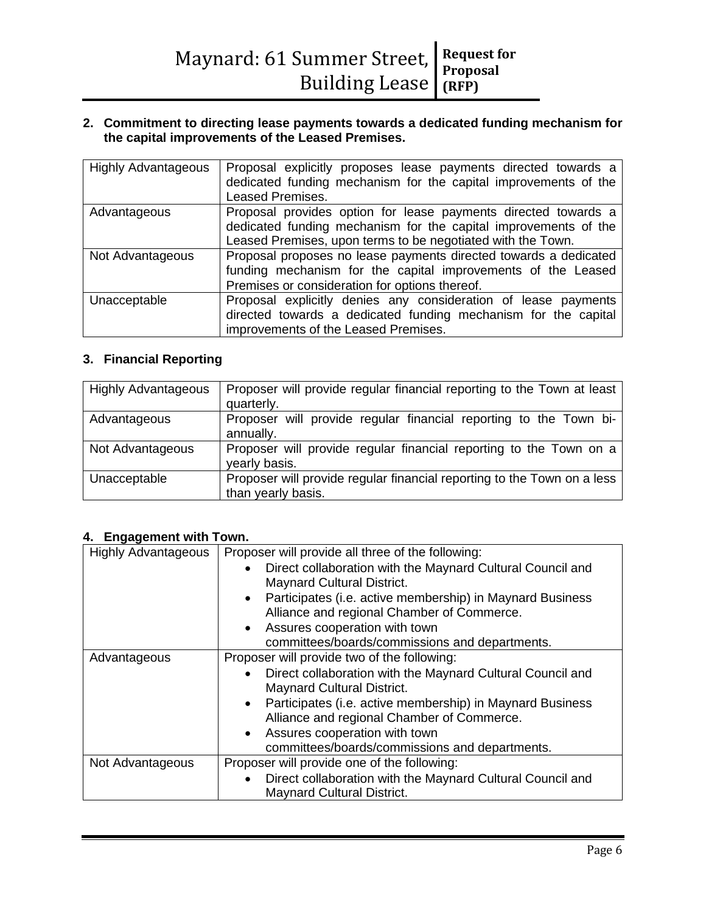### **2. Commitment to directing lease payments towards a dedicated funding mechanism for the capital improvements of the Leased Premises.**

| <b>Highly Advantageous</b> | Proposal explicitly proposes lease payments directed towards a<br>dedicated funding mechanism for the capital improvements of the<br><b>Leased Premises.</b>                                     |  |  |
|----------------------------|--------------------------------------------------------------------------------------------------------------------------------------------------------------------------------------------------|--|--|
| Advantageous               | Proposal provides option for lease payments directed towards a<br>dedicated funding mechanism for the capital improvements of the<br>Leased Premises, upon terms to be negotiated with the Town. |  |  |
| Not Advantageous           | Proposal proposes no lease payments directed towards a dedicated<br>funding mechanism for the capital improvements of the Leased<br>Premises or consideration for options thereof.               |  |  |
| Unacceptable               | Proposal explicitly denies any consideration of lease payments<br>directed towards a dedicated funding mechanism for the capital<br>improvements of the Leased Premises.                         |  |  |

# **3. Financial Reporting**

| <b>Highly Advantageous</b> | Proposer will provide regular financial reporting to the Town at least  |  |  |
|----------------------------|-------------------------------------------------------------------------|--|--|
|                            | quarterly.                                                              |  |  |
| Advantageous               | Proposer will provide regular financial reporting to the Town bi-       |  |  |
|                            | annually.                                                               |  |  |
| Not Advantageous           | Proposer will provide regular financial reporting to the Town on a      |  |  |
|                            | yearly basis.                                                           |  |  |
| Unacceptable               | Proposer will provide regular financial reporting to the Town on a less |  |  |
|                            | than yearly basis.                                                      |  |  |

### **4. Engagement with Town.**

| <b>Highly Advantageous</b> | Proposer will provide all three of the following:                       |  |  |
|----------------------------|-------------------------------------------------------------------------|--|--|
|                            | Direct collaboration with the Maynard Cultural Council and              |  |  |
|                            | <b>Maynard Cultural District.</b>                                       |  |  |
|                            | Participates (i.e. active membership) in Maynard Business<br>$\bullet$  |  |  |
|                            | Alliance and regional Chamber of Commerce.                              |  |  |
|                            | • Assures cooperation with town                                         |  |  |
|                            | committees/boards/commissions and departments.                          |  |  |
| Advantageous               | Proposer will provide two of the following:                             |  |  |
|                            | Direct collaboration with the Maynard Cultural Council and<br>$\bullet$ |  |  |
|                            | <b>Maynard Cultural District.</b>                                       |  |  |
|                            | Participates (i.e. active membership) in Maynard Business<br>$\bullet$  |  |  |
|                            | Alliance and regional Chamber of Commerce.                              |  |  |
|                            | Assures cooperation with town<br>$\bullet$                              |  |  |
|                            | committees/boards/commissions and departments.                          |  |  |
| Not Advantageous           | Proposer will provide one of the following:                             |  |  |
|                            | Direct collaboration with the Maynard Cultural Council and<br>$\bullet$ |  |  |
|                            | <b>Maynard Cultural District.</b>                                       |  |  |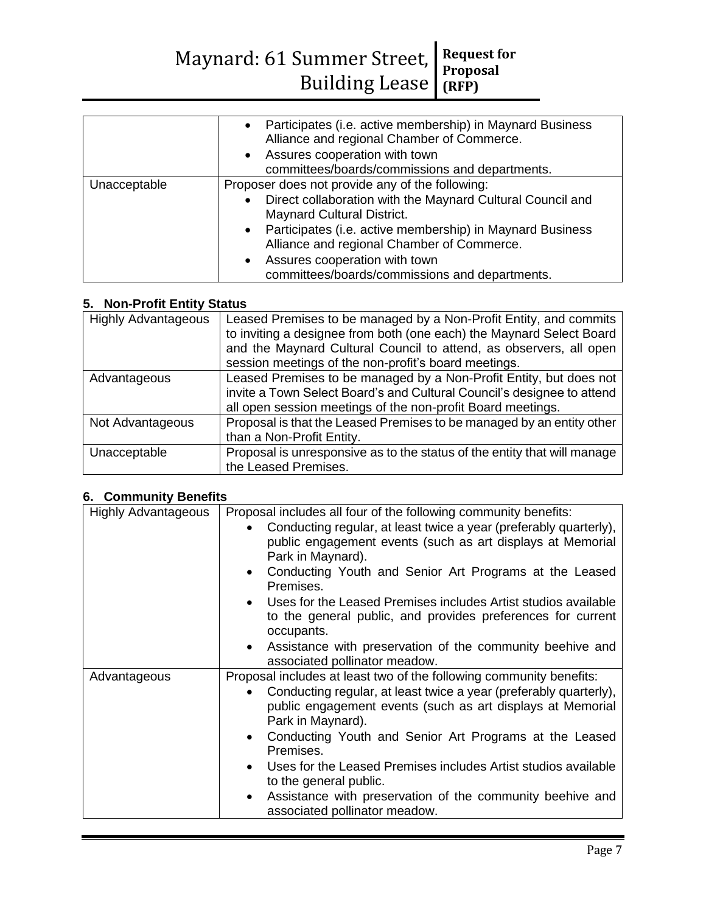|              | • Participates (i.e. active membership) in Maynard Business<br>Alliance and regional Chamber of Commerce.<br>• Assures cooperation with town<br>committees/boards/commissions and departments. |  |
|--------------|------------------------------------------------------------------------------------------------------------------------------------------------------------------------------------------------|--|
|              | Proposer does not provide any of the following:                                                                                                                                                |  |
| Unacceptable |                                                                                                                                                                                                |  |
|              | Direct collaboration with the Maynard Cultural Council and<br>$\bullet$                                                                                                                        |  |
|              | <b>Maynard Cultural District.</b>                                                                                                                                                              |  |
|              | • Participates (i.e. active membership) in Maynard Business                                                                                                                                    |  |
|              | Alliance and regional Chamber of Commerce.                                                                                                                                                     |  |
|              | • Assures cooperation with town                                                                                                                                                                |  |
|              | committees/boards/commissions and departments.                                                                                                                                                 |  |

## **5. Non-Profit Entity Status**

| <b>Highly Advantageous</b> | Leased Premises to be managed by a Non-Profit Entity, and commits<br>to inviting a designee from both (one each) the Maynard Select Board<br>and the Maynard Cultural Council to attend, as observers, all open<br>session meetings of the non-profit's board meetings. |
|----------------------------|-------------------------------------------------------------------------------------------------------------------------------------------------------------------------------------------------------------------------------------------------------------------------|
| Advantageous               | Leased Premises to be managed by a Non-Profit Entity, but does not<br>invite a Town Select Board's and Cultural Council's designee to attend<br>all open session meetings of the non-profit Board meetings.                                                             |
| Not Advantageous           | Proposal is that the Leased Premises to be managed by an entity other<br>than a Non-Profit Entity.                                                                                                                                                                      |
| Unacceptable               | Proposal is unresponsive as to the status of the entity that will manage<br>the Leased Premises.                                                                                                                                                                        |

# **6. Community Benefits**

| <b>Highly Advantageous</b> | Proposal includes all four of the following community benefits:                                                                                      |  |  |
|----------------------------|------------------------------------------------------------------------------------------------------------------------------------------------------|--|--|
|                            | Conducting regular, at least twice a year (preferably quarterly),<br>public engagement events (such as art displays at Memorial<br>Park in Maynard). |  |  |
|                            | • Conducting Youth and Senior Art Programs at the Leased<br>Premises.                                                                                |  |  |
|                            | • Uses for the Leased Premises includes Artist studios available<br>to the general public, and provides preferences for current<br>occupants.        |  |  |
|                            | Assistance with preservation of the community beehive and<br>associated pollinator meadow.                                                           |  |  |
| Advantageous               | Proposal includes at least two of the following community benefits:                                                                                  |  |  |
|                            | Conducting regular, at least twice a year (preferably quarterly),<br>public engagement events (such as art displays at Memorial<br>Park in Maynard). |  |  |
|                            | Conducting Youth and Senior Art Programs at the Leased<br>Premises.                                                                                  |  |  |
|                            | • Uses for the Leased Premises includes Artist studios available<br>to the general public.                                                           |  |  |
|                            | Assistance with preservation of the community beehive and<br>associated pollinator meadow.                                                           |  |  |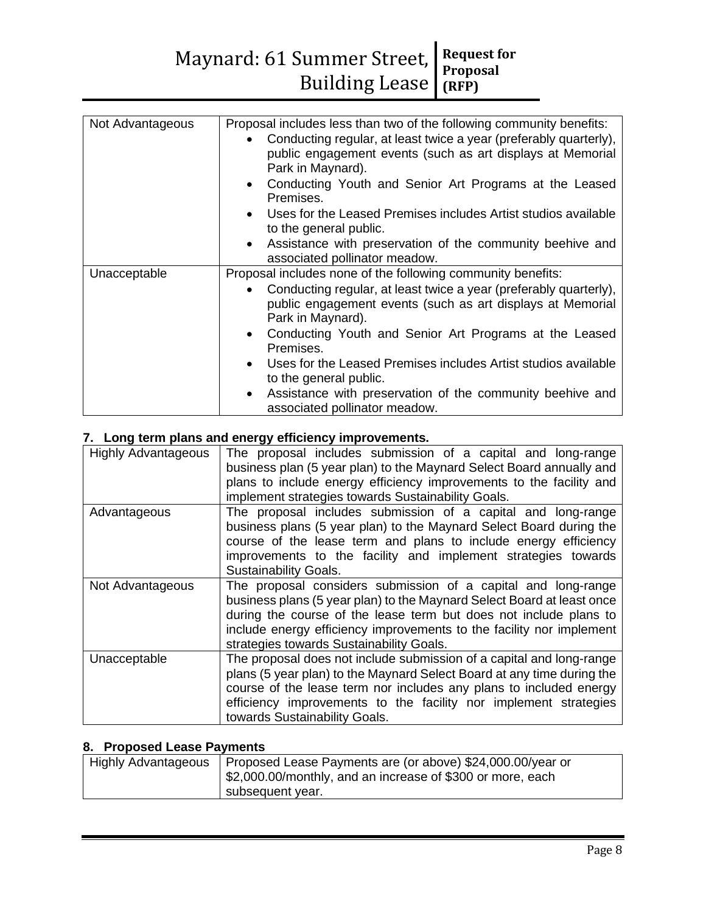| Not Advantageous | Proposal includes less than two of the following community benefits:<br>Conducting regular, at least twice a year (preferably quarterly),<br>public engagement events (such as art displays at Memorial<br>Park in Maynard).<br>• Conducting Youth and Senior Art Programs at the Leased<br>Premises.<br>• Uses for the Leased Premises includes Artist studios available<br>to the general public.<br>Assistance with preservation of the community beehive and<br>$\bullet$<br>associated pollinator meadow. |
|------------------|----------------------------------------------------------------------------------------------------------------------------------------------------------------------------------------------------------------------------------------------------------------------------------------------------------------------------------------------------------------------------------------------------------------------------------------------------------------------------------------------------------------|
| Unacceptable     | Proposal includes none of the following community benefits:                                                                                                                                                                                                                                                                                                                                                                                                                                                    |
|                  | Conducting regular, at least twice a year (preferably quarterly),<br>public engagement events (such as art displays at Memorial<br>Park in Maynard).<br>Conducting Youth and Senior Art Programs at the Leased<br>$\bullet$                                                                                                                                                                                                                                                                                    |
|                  | Premises.                                                                                                                                                                                                                                                                                                                                                                                                                                                                                                      |
|                  | • Uses for the Leased Premises includes Artist studios available<br>to the general public.                                                                                                                                                                                                                                                                                                                                                                                                                     |
|                  | Assistance with preservation of the community beehive and<br>associated pollinator meadow.                                                                                                                                                                                                                                                                                                                                                                                                                     |

# **7. Long term plans and energy efficiency improvements.**

| <b>Highly Advantageous</b> | The proposal includes submission of a capital and long-range<br>business plan (5 year plan) to the Maynard Select Board annually and<br>plans to include energy efficiency improvements to the facility and<br>implement strategies towards Sustainability Goals.                                                                |  |  |
|----------------------------|----------------------------------------------------------------------------------------------------------------------------------------------------------------------------------------------------------------------------------------------------------------------------------------------------------------------------------|--|--|
| Advantageous               | The proposal includes submission of a capital and long-range<br>business plans (5 year plan) to the Maynard Select Board during the<br>course of the lease term and plans to include energy efficiency<br>improvements to the facility and implement strategies towards<br><b>Sustainability Goals.</b>                          |  |  |
| Not Advantageous           | The proposal considers submission of a capital and long-range<br>business plans (5 year plan) to the Maynard Select Board at least once<br>during the course of the lease term but does not include plans to<br>include energy efficiency improvements to the facility nor implement<br>strategies towards Sustainability Goals. |  |  |
| Unacceptable               | The proposal does not include submission of a capital and long-range<br>plans (5 year plan) to the Maynard Select Board at any time during the<br>course of the lease term nor includes any plans to included energy<br>efficiency improvements to the facility nor implement strategies<br>towards Sustainability Goals.        |  |  |

# **8. Proposed Lease Payments**

| <b>Highly Advantageous</b> | Proposed Lease Payments are (or above) \$24,000.00/year or |  |
|----------------------------|------------------------------------------------------------|--|
|                            | \$2,000.00/monthly, and an increase of \$300 or more, each |  |
|                            | subsequent year.                                           |  |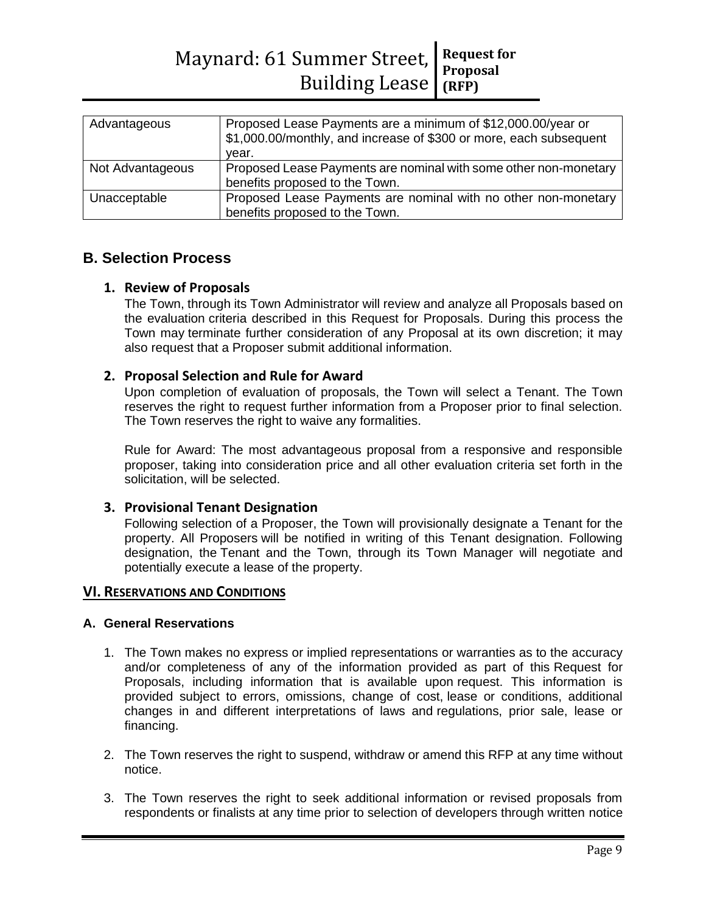| Advantageous     | Proposed Lease Payments are a minimum of \$12,000.00/year or<br>\$1,000.00/monthly, and increase of \$300 or more, each subsequent<br>vear. |  |
|------------------|---------------------------------------------------------------------------------------------------------------------------------------------|--|
| Not Advantageous | Proposed Lease Payments are nominal with some other non-monetary                                                                            |  |
|                  | benefits proposed to the Town.                                                                                                              |  |
| Unacceptable     | Proposed Lease Payments are nominal with no other non-monetary                                                                              |  |
|                  | benefits proposed to the Town.                                                                                                              |  |

# **B. Selection Process**

### **1. Review of Proposals**

The Town, through its Town Administrator will review and analyze all Proposals based on the evaluation criteria described in this Request for Proposals. During this process the Town may terminate further consideration of any Proposal at its own discretion; it may also request that a Proposer submit additional information.

### **2. Proposal Selection and Rule for Award**

Upon completion of evaluation of proposals, the Town will select a Tenant. The Town reserves the right to request further information from a Proposer prior to final selection. The Town reserves the right to waive any formalities.

Rule for Award: The most advantageous proposal from a responsive and responsible proposer, taking into consideration price and all other evaluation criteria set forth in the solicitation, will be selected.

### **3. Provisional Tenant Designation**

Following selection of a Proposer, the Town will provisionally designate a Tenant for the property. All Proposers will be notified in writing of this Tenant designation. Following designation, the Tenant and the Town, through its Town Manager will negotiate and potentially execute a lease of the property.

### **VI. RESERVATIONS AND CONDITIONS**

### **A. General Reservations**

- 1. The Town makes no express or implied representations or warranties as to the accuracy and/or completeness of any of the information provided as part of this Request for Proposals, including information that is available upon request. This information is provided subject to errors, omissions, change of cost, lease or conditions, additional changes in and different interpretations of laws and regulations, prior sale, lease or financing.
- 2. The Town reserves the right to suspend, withdraw or amend this RFP at any time without notice.
- 3. The Town reserves the right to seek additional information or revised proposals from respondents or finalists at any time prior to selection of developers through written notice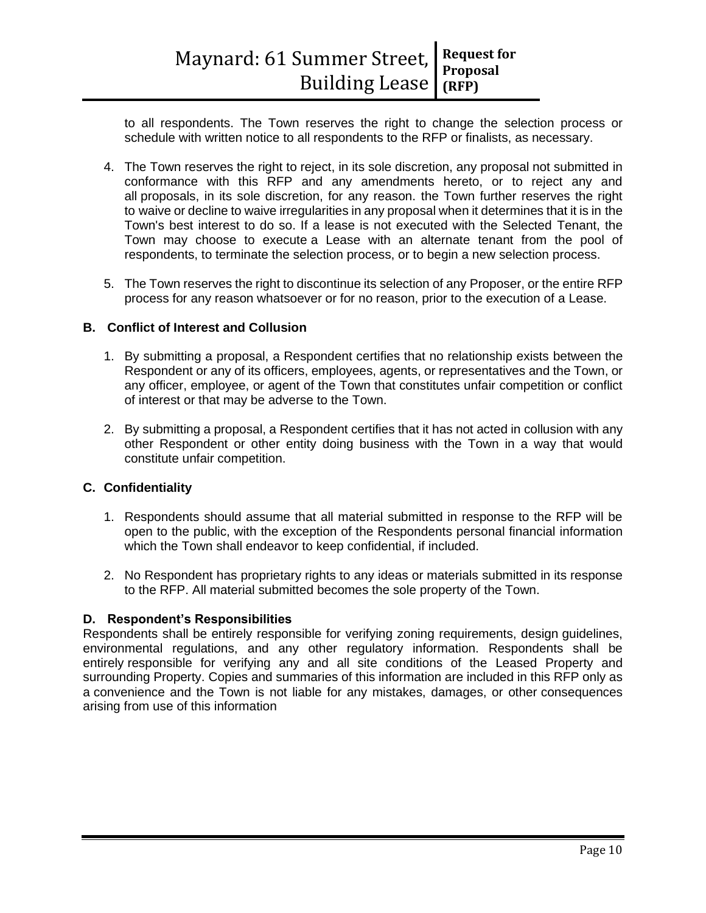to all respondents. The Town reserves the right to change the selection process or schedule with written notice to all respondents to the RFP or finalists, as necessary.

- 4. The Town reserves the right to reject, in its sole discretion, any proposal not submitted in conformance with this RFP and any amendments hereto, or to reject any and all proposals, in its sole discretion, for any reason. the Town further reserves the right to waive or decline to waive irregularities in any proposal when it determines that it is in the Town's best interest to do so. If a lease is not executed with the Selected Tenant, the Town may choose to execute a Lease with an alternate tenant from the pool of respondents, to terminate the selection process, or to begin a new selection process.
- 5. The Town reserves the right to discontinue its selection of any Proposer, or the entire RFP process for any reason whatsoever or for no reason, prior to the execution of a Lease.

### **B. Conflict of Interest and Collusion**

- 1. By submitting a proposal, a Respondent certifies that no relationship exists between the Respondent or any of its officers, employees, agents, or representatives and the Town, or any officer, employee, or agent of the Town that constitutes unfair competition or conflict of interest or that may be adverse to the Town.
- 2. By submitting a proposal, a Respondent certifies that it has not acted in collusion with any other Respondent or other entity doing business with the Town in a way that would constitute unfair competition.

### **C. Confidentiality**

- 1. Respondents should assume that all material submitted in response to the RFP will be open to the public, with the exception of the Respondents personal financial information which the Town shall endeavor to keep confidential, if included.
- 2. No Respondent has proprietary rights to any ideas or materials submitted in its response to the RFP. All material submitted becomes the sole property of the Town.

### **D. Respondent's Responsibilities**

Respondents shall be entirely responsible for verifying zoning requirements, design guidelines, environmental regulations, and any other regulatory information. Respondents shall be entirely responsible for verifying any and all site conditions of the Leased Property and surrounding Property. Copies and summaries of this information are included in this RFP only as a convenience and the Town is not liable for any mistakes, damages, or other consequences arising from use of this information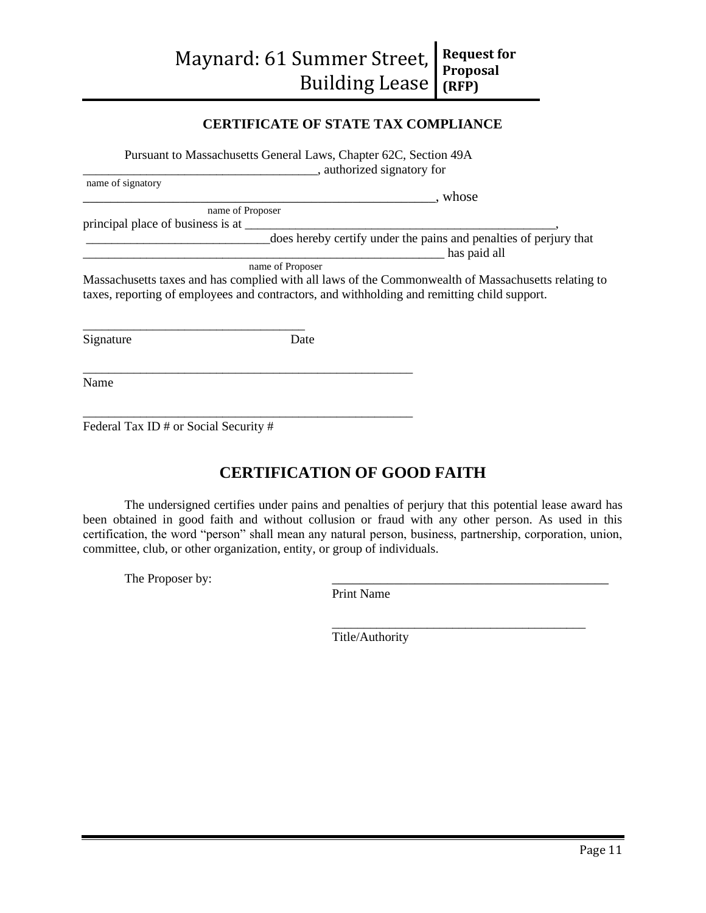# **CERTIFICATE OF STATE TAX COMPLIANCE**

Pursuant to Massachusetts General Laws, Chapter 62C, Section 49A

\_\_\_\_\_\_\_\_\_\_\_\_\_\_\_\_\_\_\_\_\_\_\_\_\_\_\_\_\_\_\_\_\_\_\_\_\_, authorized signatory for

| name of signatory |                  |                                                                                                                                                                                                    |
|-------------------|------------------|----------------------------------------------------------------------------------------------------------------------------------------------------------------------------------------------------|
|                   |                  | , whose                                                                                                                                                                                            |
|                   | name of Proposer |                                                                                                                                                                                                    |
|                   |                  |                                                                                                                                                                                                    |
|                   |                  | does hereby certify under the pains and penalties of perjury that<br>has paid all                                                                                                                  |
|                   | name of Proposer |                                                                                                                                                                                                    |
|                   |                  | Massachusetts taxes and has complied with all laws of the Commonwealth of Massachusetts relating to<br>taxes, reporting of employees and contractors, and withholding and remitting child support. |
| Signature         | Date             |                                                                                                                                                                                                    |
| Name              |                  |                                                                                                                                                                                                    |

Federal Tax ID # or Social Security #

# **CERTIFICATION OF GOOD FAITH**

The undersigned certifies under pains and penalties of perjury that this potential lease award has been obtained in good faith and without collusion or fraud with any other person. As used in this certification, the word "person" shall mean any natural person, business, partnership, corporation, union, committee, club, or other organization, entity, or group of individuals.

The Proposer by:

Print Name

Title/Authority

\_\_\_\_\_\_\_\_\_\_\_\_\_\_\_\_\_\_\_\_\_\_\_\_\_\_\_\_\_\_\_\_\_\_\_\_\_\_\_\_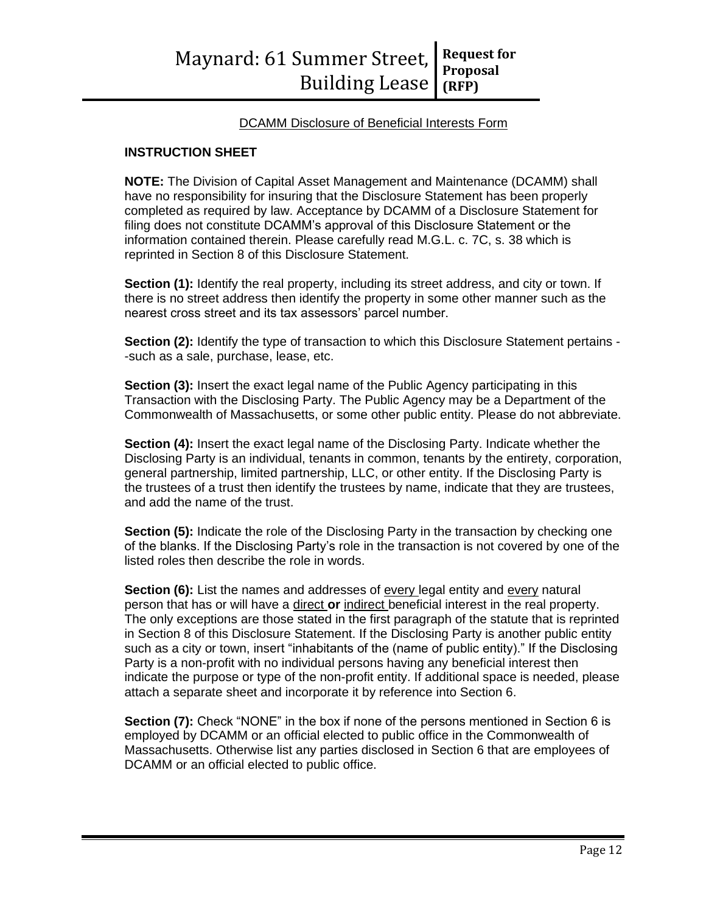### DCAMM Disclosure of Beneficial Interests Form

### **INSTRUCTION SHEET**

**NOTE:** The Division of Capital Asset Management and Maintenance (DCAMM) shall have no responsibility for insuring that the Disclosure Statement has been properly completed as required by law. Acceptance by DCAMM of a Disclosure Statement for filing does not constitute DCAMM's approval of this Disclosure Statement or the information contained therein. Please carefully read M.G.L. c. 7C, s. 38 which is reprinted in Section 8 of this Disclosure Statement.

**Section (1):** Identify the real property, including its street address, and city or town. If there is no street address then identify the property in some other manner such as the nearest cross street and its tax assessors' parcel number.

**Section (2):** Identify the type of transaction to which this Disclosure Statement pertains --such as a sale, purchase, lease, etc.

**Section (3):** Insert the exact legal name of the Public Agency participating in this Transaction with the Disclosing Party. The Public Agency may be a Department of the Commonwealth of Massachusetts, or some other public entity. Please do not abbreviate.

**Section (4):** Insert the exact legal name of the Disclosing Party. Indicate whether the Disclosing Party is an individual, tenants in common, tenants by the entirety, corporation, general partnership, limited partnership, LLC, or other entity. If the Disclosing Party is the trustees of a trust then identify the trustees by name, indicate that they are trustees, and add the name of the trust.

**Section (5):** Indicate the role of the Disclosing Party in the transaction by checking one of the blanks. If the Disclosing Party's role in the transaction is not covered by one of the listed roles then describe the role in words.

**Section (6):** List the names and addresses of every legal entity and every natural person that has or will have a direct **or** indirect beneficial interest in the real property. The only exceptions are those stated in the first paragraph of the statute that is reprinted in Section 8 of this Disclosure Statement. If the Disclosing Party is another public entity such as a city or town, insert "inhabitants of the (name of public entity)." If the Disclosing Party is a non-profit with no individual persons having any beneficial interest then indicate the purpose or type of the non-profit entity. If additional space is needed, please attach a separate sheet and incorporate it by reference into Section 6.

**Section (7):** Check "NONE" in the box if none of the persons mentioned in Section 6 is employed by DCAMM or an official elected to public office in the Commonwealth of Massachusetts. Otherwise list any parties disclosed in Section 6 that are employees of DCAMM or an official elected to public office.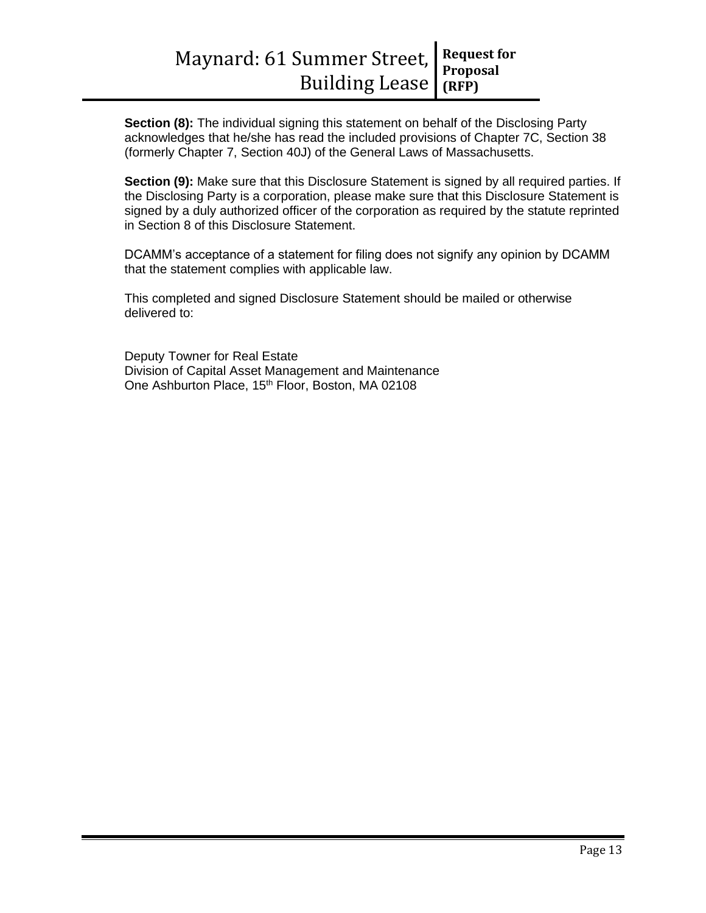**Section (8):** The individual signing this statement on behalf of the Disclosing Party acknowledges that he/she has read the included provisions of Chapter 7C, Section 38 (formerly Chapter 7, Section 40J) of the General Laws of Massachusetts.

**Section (9):** Make sure that this Disclosure Statement is signed by all required parties. If the Disclosing Party is a corporation, please make sure that this Disclosure Statement is signed by a duly authorized officer of the corporation as required by the statute reprinted in Section 8 of this Disclosure Statement.

DCAMM's acceptance of a statement for filing does not signify any opinion by DCAMM that the statement complies with applicable law.

This completed and signed Disclosure Statement should be mailed or otherwise delivered to:

Deputy Towner for Real Estate Division of Capital Asset Management and Maintenance One Ashburton Place, 15<sup>th</sup> Floor, Boston, MA 02108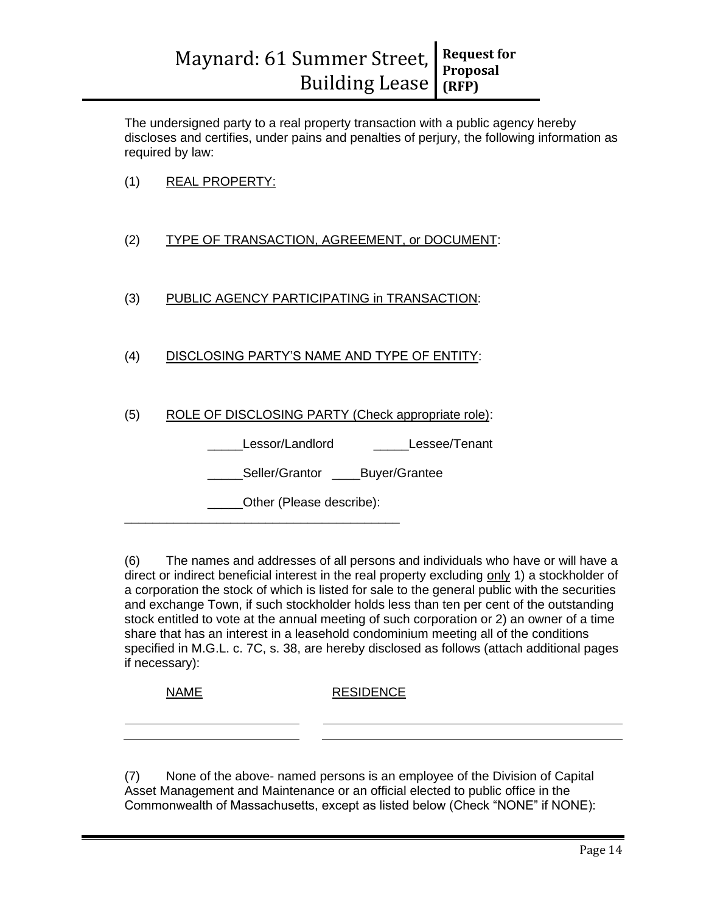The undersigned party to a real property transaction with a public agency hereby discloses and certifies, under pains and penalties of perjury, the following information as required by law:

- (1) REAL PROPERTY:
- (2) TYPE OF TRANSACTION, AGREEMENT, or DOCUMENT:
- (3) PUBLIC AGENCY PARTICIPATING in TRANSACTION:
- (4) DISCLOSING PARTY'S NAME AND TYPE OF ENTITY:

# (5) ROLE OF DISCLOSING PARTY (Check appropriate role):

Lessor/Landlord \_\_\_\_\_\_\_\_Lessee/Tenant

Seller/Grantor Buyer/Grantee

Other (Please describe):

\_\_\_\_\_\_\_\_\_\_\_\_\_\_\_\_\_\_\_\_\_\_\_\_\_\_\_\_\_\_\_\_\_\_\_\_\_\_\_

(6) The names and addresses of all persons and individuals who have or will have a direct or indirect beneficial interest in the real property excluding only 1) a stockholder of a corporation the stock of which is listed for sale to the general public with the securities and exchange Town, if such stockholder holds less than ten per cent of the outstanding stock entitled to vote at the annual meeting of such corporation or 2) an owner of a time share that has an interest in a leasehold condominium meeting all of the conditions specified in M.G.L. c. 7C, s. 38, are hereby disclosed as follows (attach additional pages if necessary):

|            | <b>NAME</b> | <b>RESIDENCE</b>                                                              |
|------------|-------------|-------------------------------------------------------------------------------|
|            |             |                                                                               |
| $\sqrt{2}$ |             | Nana af the chaire, percent percent is an employee of the Division of Capital |

(7) None of the above- named persons is an employee of the Division of Capital Asset Management and Maintenance or an official elected to public office in the Commonwealth of Massachusetts, except as listed below (Check "NONE" if NONE):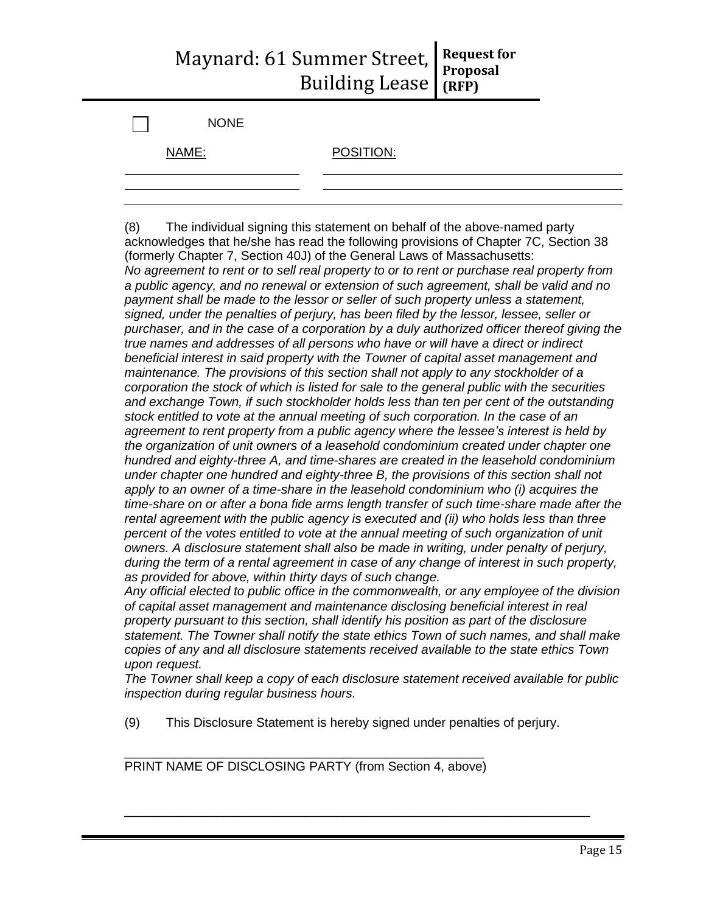| <b>NONE</b> |           |
|-------------|-----------|
| NAME:       | POSITION: |
|             |           |

(8) The individual signing this statement on behalf of the above-named party acknowledges that he/she has read the following provisions of Chapter 7C, Section 38 (formerly Chapter 7, Section 40J) of the General Laws of Massachusetts: *No agreement to rent or to sell real property to or to rent or purchase real property from a public agency, and no renewal or extension of such agreement, shall be valid and no payment shall be made to the lessor or seller of such property unless a statement, signed, under the penalties of perjury, has been filed by the lessor, lessee, seller or purchaser, and in the case of a corporation by a duly authorized officer thereof giving the true names and addresses of all persons who have or will have a direct or indirect beneficial interest in said property with the Towner of capital asset management and maintenance. The provisions of this section shall not apply to any stockholder of a corporation the stock of which is listed for sale to the general public with the securities and exchange Town, if such stockholder holds less than ten per cent of the outstanding stock entitled to vote at the annual meeting of such corporation. In the case of an agreement to rent property from a public agency where the lessee's interest is held by the organization of unit owners of a leasehold condominium created under chapter one hundred and eighty-three A, and time-shares are created in the leasehold condominium under chapter one hundred and eighty-three B, the provisions of this section shall not apply to an owner of a time-share in the leasehold condominium who (i) acquires the time-share on or after a bona fide arms length transfer of such time-share made after the rental agreement with the public agency is executed and (ii) who holds less than three percent of the votes entitled to vote at the annual meeting of such organization of unit owners. A disclosure statement shall also be made in writing, under penalty of perjury, during the term of a rental agreement in case of any change of interest in such property, as provided for above, within thirty days of such change.*

*Any official elected to public office in the commonwealth, or any employee of the division of capital asset management and maintenance disclosing beneficial interest in real property pursuant to this section, shall identify his position as part of the disclosure statement. The Towner shall notify the state ethics Town of such names, and shall make copies of any and all disclosure statements received available to the state ethics Town upon request.*

*The Towner shall keep a copy of each disclosure statement received available for public inspection during regular business hours.*

(9) This Disclosure Statement is hereby signed under penalties of perjury.

\_\_\_\_\_\_\_\_\_\_\_\_\_\_\_\_\_\_\_\_\_\_\_\_\_\_\_\_\_\_\_\_\_\_\_\_\_\_\_\_\_\_\_\_\_\_\_\_\_\_\_\_\_\_\_\_\_\_\_\_\_\_\_\_\_\_

\_\_\_\_\_\_\_\_\_\_\_\_\_\_\_\_\_\_\_\_\_\_\_\_\_\_\_\_\_\_\_\_\_\_\_\_\_\_\_\_\_\_\_\_\_\_\_\_\_\_\_ PRINT NAME OF DISCLOSING PARTY (from Section 4, above)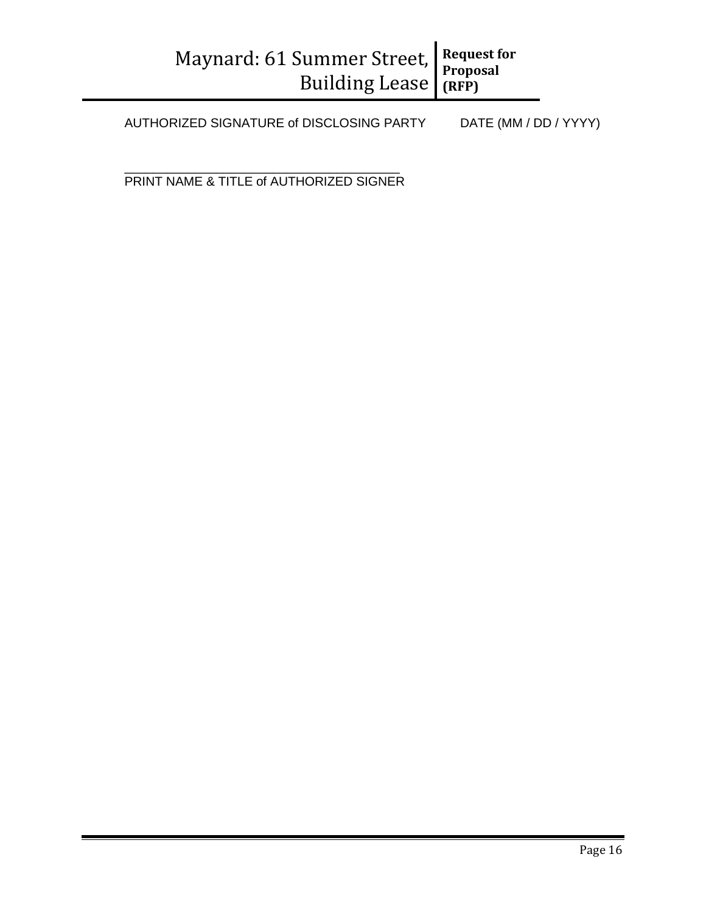AUTHORIZED SIGNATURE of DISCLOSING PARTY DATE (MM / DD / YYYY)

\_\_\_\_\_\_\_\_\_\_\_\_\_\_\_\_\_\_\_\_\_\_\_\_\_\_\_\_\_\_\_\_\_\_\_\_\_\_\_ PRINT NAME & TITLE of AUTHORIZED SIGNER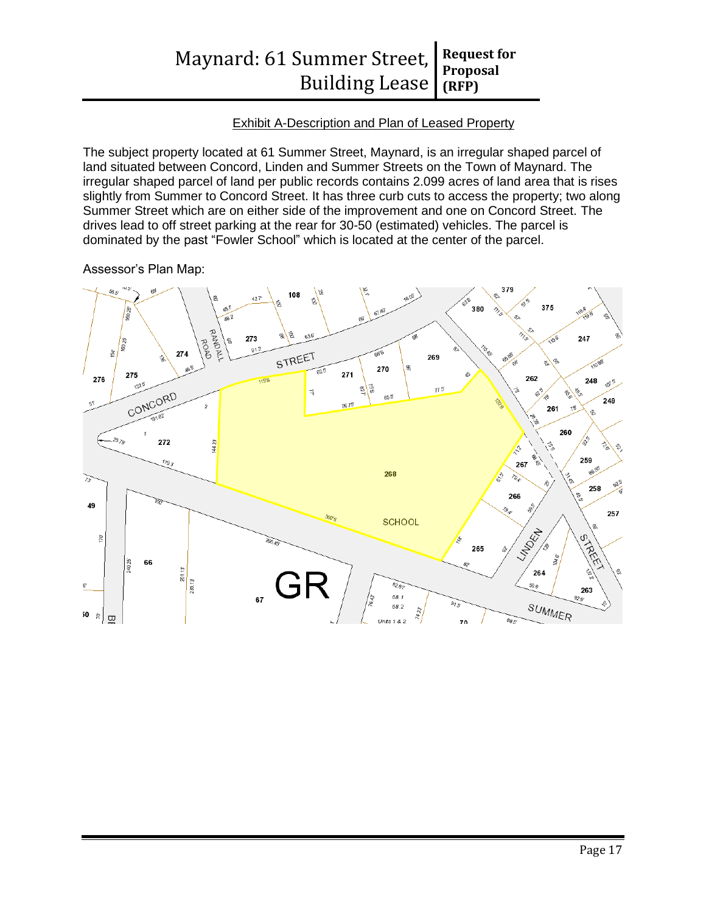## Exhibit A-Description and Plan of Leased Property

The subject property located at 61 Summer Street, Maynard, is an irregular shaped parcel of land situated between Concord, Linden and Summer Streets on the Town of Maynard. The irregular shaped parcel of land per public records contains 2.099 acres of land area that is rises slightly from Summer to Concord Street. It has three curb cuts to access the property; two along Summer Street which are on either side of the improvement and one on Concord Street. The drives lead to off street parking at the rear for 30-50 (estimated) vehicles. The parcel is dominated by the past "Fowler School" which is located at the center of the parcel.

### Assessor's Plan Map:

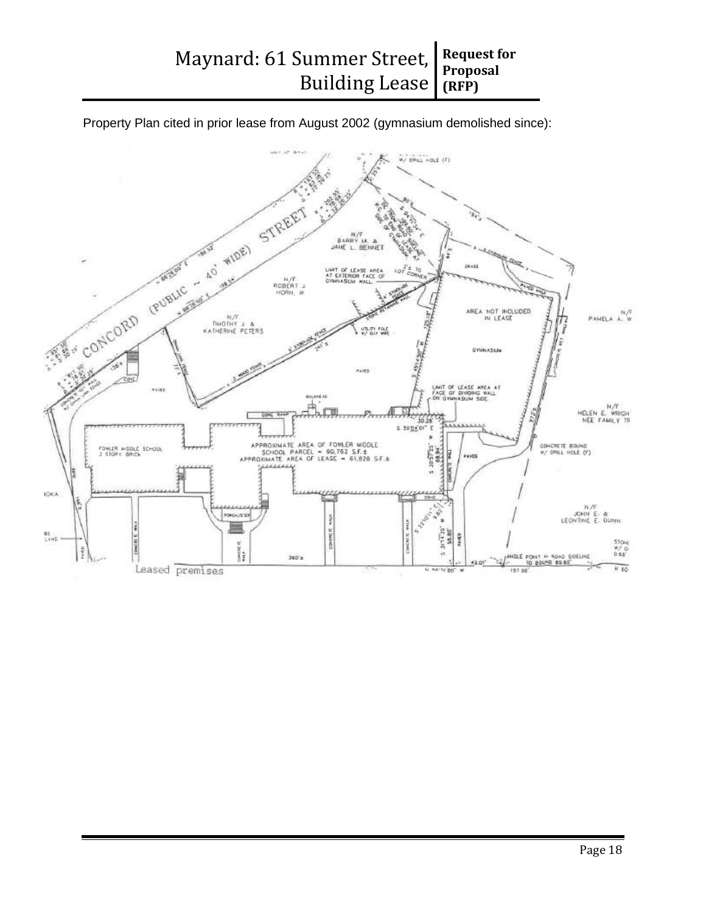Property Plan cited in prior lease from August 2002 (gymnasium demolished since):

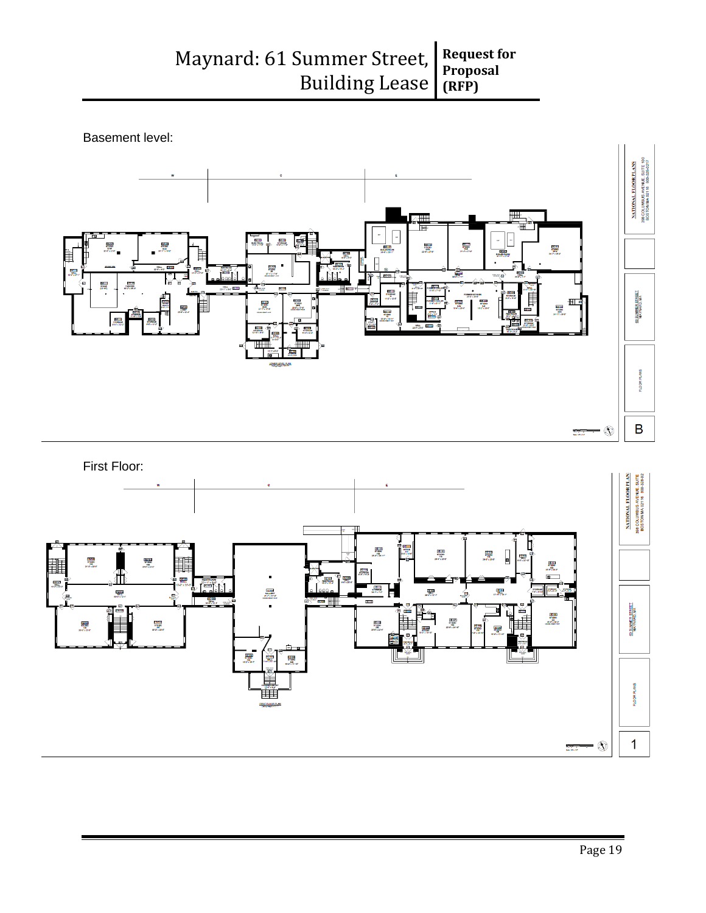

Basement level:



 $\mathbb{Q}$ 

 $\frac{1}{2}$ 

 $\mathbf{1}$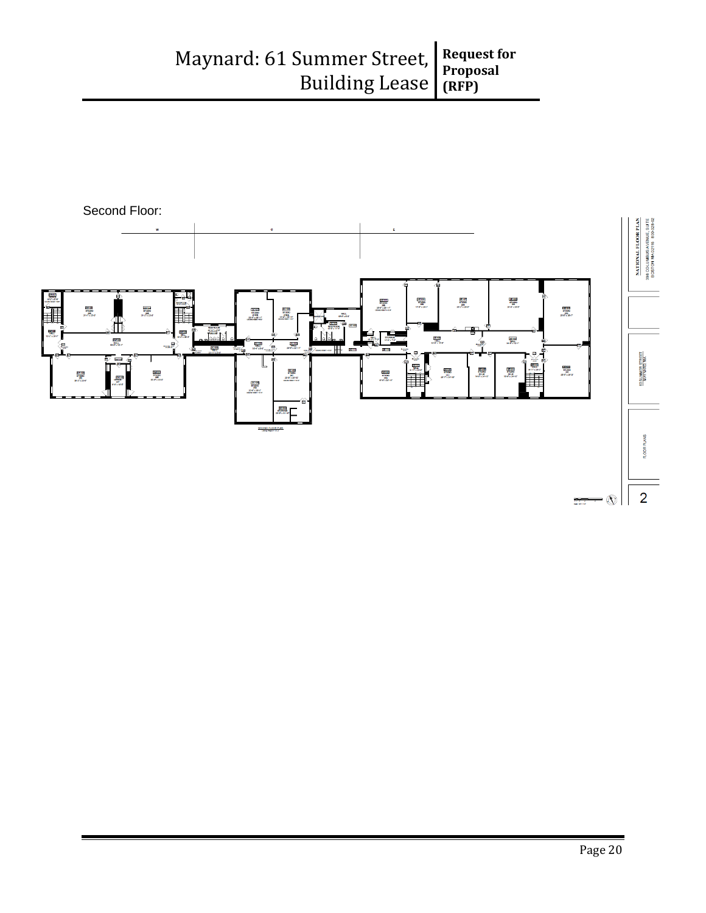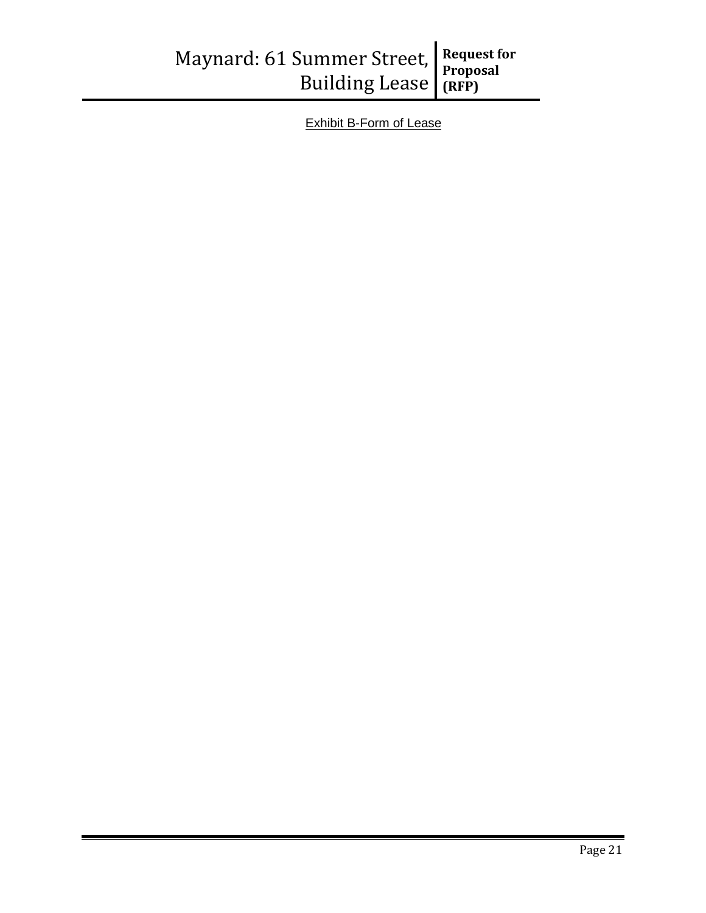| Maynard: 61 Summer Street, Request for<br>Building Lease (RFP) |  |  |
|----------------------------------------------------------------|--|--|
|                                                                |  |  |

Exhibit B-Form of Lease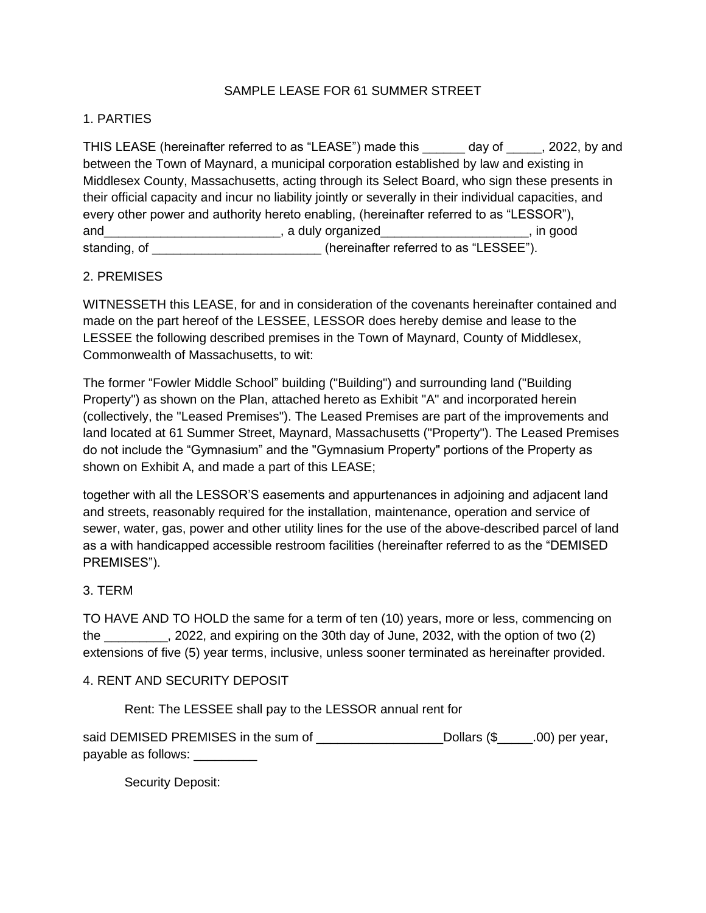### SAMPLE LEASE FOR 61 SUMMER STREET

### 1. PARTIES

THIS LEASE (hereinafter referred to as "LEASE") made this day of case, 2022, by and between the Town of Maynard, a municipal corporation established by law and existing in Middlesex County, Massachusetts, acting through its Select Board, who sign these presents in their official capacity and incur no liability jointly or severally in their individual capacities, and every other power and authority hereto enabling, (hereinafter referred to as "LESSOR"), and\_\_\_\_\_\_\_\_\_\_\_\_\_\_\_\_\_\_\_\_\_\_\_\_\_\_\_\_\_, a duly organized\_\_\_\_\_\_\_\_\_\_\_\_\_\_\_\_\_\_\_\_\_\_\_\_\_\_, in good standing, of \_\_\_\_\_\_\_\_\_\_\_\_\_\_\_\_\_\_\_\_\_\_\_\_\_\_\_(hereinafter referred to as "LESSEE").

## 2. PREMISES

WITNESSETH this LEASE, for and in consideration of the covenants hereinafter contained and made on the part hereof of the LESSEE, LESSOR does hereby demise and lease to the LESSEE the following described premises in the Town of Maynard, County of Middlesex, Commonwealth of Massachusetts, to wit:

The former "Fowler Middle School" building ("Building") and surrounding land ("Building Property") as shown on the Plan, attached hereto as Exhibit "A" and incorporated herein (collectively, the "Leased Premises"). The Leased Premises are part of the improvements and land located at 61 Summer Street, Maynard, Massachusetts ("Property"). The Leased Premises do not include the "Gymnasium" and the "Gymnasium Property" portions of the Property as shown on Exhibit A, and made a part of this LEASE;

together with all the LESSOR'S easements and appurtenances in adjoining and adjacent land and streets, reasonably required for the installation, maintenance, operation and service of sewer, water, gas, power and other utility lines for the use of the above-described parcel of land as a with handicapped accessible restroom facilities (hereinafter referred to as the "DEMISED PREMISES").

### 3. TERM

TO HAVE AND TO HOLD the same for a term of ten (10) years, more or less, commencing on the 2022, and expiring on the 30th day of June, 2032, with the option of two (2) extensions of five (5) year terms, inclusive, unless sooner terminated as hereinafter provided.

### 4. RENT AND SECURITY DEPOSIT

Rent: The LESSEE shall pay to the LESSOR annual rent for

| said DEMISED PREMISES in the sum of | _Dollars (\$______.00) per year, |
|-------------------------------------|----------------------------------|
| payable as follows:                 |                                  |

Security Deposit: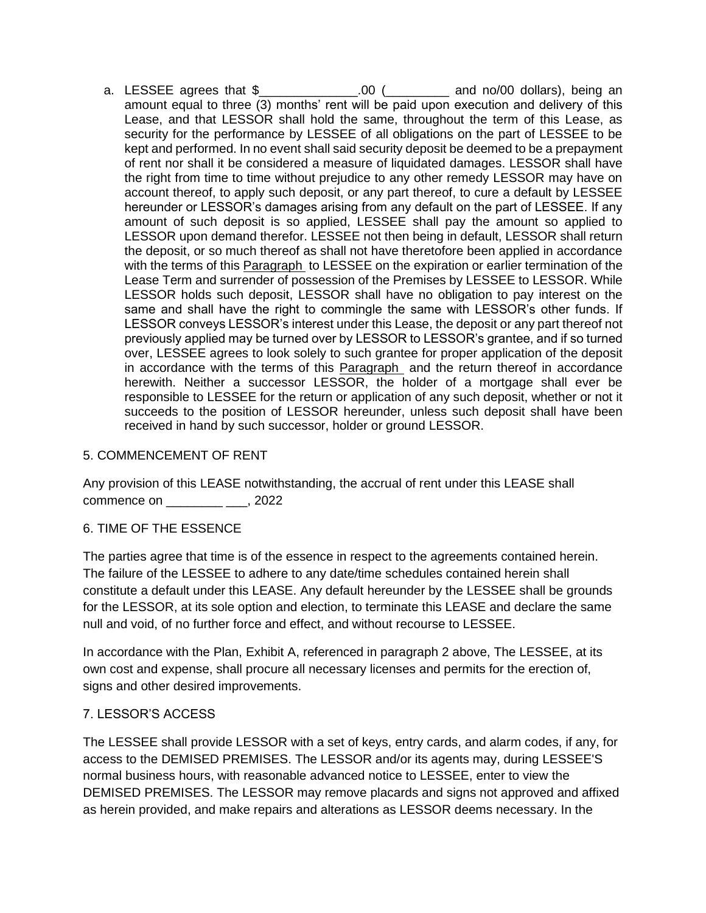a. LESSEE agrees that \$\_\_\_\_\_\_\_\_\_\_\_\_\_\_.00 (\_\_\_\_\_\_\_\_\_ and no/00 dollars), being an amount equal to three (3) months' rent will be paid upon execution and delivery of this Lease, and that LESSOR shall hold the same, throughout the term of this Lease, as security for the performance by LESSEE of all obligations on the part of LESSEE to be kept and performed. In no event shall said security deposit be deemed to be a prepayment of rent nor shall it be considered a measure of liquidated damages. LESSOR shall have the right from time to time without prejudice to any other remedy LESSOR may have on account thereof, to apply such deposit, or any part thereof, to cure a default by LESSEE hereunder or LESSOR's damages arising from any default on the part of LESSEE. If any amount of such deposit is so applied, LESSEE shall pay the amount so applied to LESSOR upon demand therefor. LESSEE not then being in default, LESSOR shall return the deposit, or so much thereof as shall not have theretofore been applied in accordance with the terms of this Paragraph to LESSEE on the expiration or earlier termination of the Lease Term and surrender of possession of the Premises by LESSEE to LESSOR. While LESSOR holds such deposit, LESSOR shall have no obligation to pay interest on the same and shall have the right to commingle the same with LESSOR's other funds. If LESSOR conveys LESSOR's interest under this Lease, the deposit or any part thereof not previously applied may be turned over by LESSOR to LESSOR's grantee, and if so turned over, LESSEE agrees to look solely to such grantee for proper application of the deposit in accordance with the terms of this Paragraph and the return thereof in accordance herewith. Neither a successor LESSOR, the holder of a mortgage shall ever be responsible to LESSEE for the return or application of any such deposit, whether or not it succeeds to the position of LESSOR hereunder, unless such deposit shall have been received in hand by such successor, holder or ground LESSOR.

## 5. COMMENCEMENT OF RENT

Any provision of this LEASE notwithstanding, the accrual of rent under this LEASE shall commence on  $\qquad \qquad$ , 2022

### 6. TIME OF THE ESSENCE

The parties agree that time is of the essence in respect to the agreements contained herein. The failure of the LESSEE to adhere to any date/time schedules contained herein shall constitute a default under this LEASE. Any default hereunder by the LESSEE shall be grounds for the LESSOR, at its sole option and election, to terminate this LEASE and declare the same null and void, of no further force and effect, and without recourse to LESSEE.

In accordance with the Plan, Exhibit A, referenced in paragraph 2 above, The LESSEE, at its own cost and expense, shall procure all necessary licenses and permits for the erection of, signs and other desired improvements.

### 7. LESSOR'S ACCESS

The LESSEE shall provide LESSOR with a set of keys, entry cards, and alarm codes, if any, for access to the DEMISED PREMISES. The LESSOR and/or its agents may, during LESSEE'S normal business hours, with reasonable advanced notice to LESSEE, enter to view the DEMISED PREMISES. The LESSOR may remove placards and signs not approved and affixed as herein provided, and make repairs and alterations as LESSOR deems necessary. In the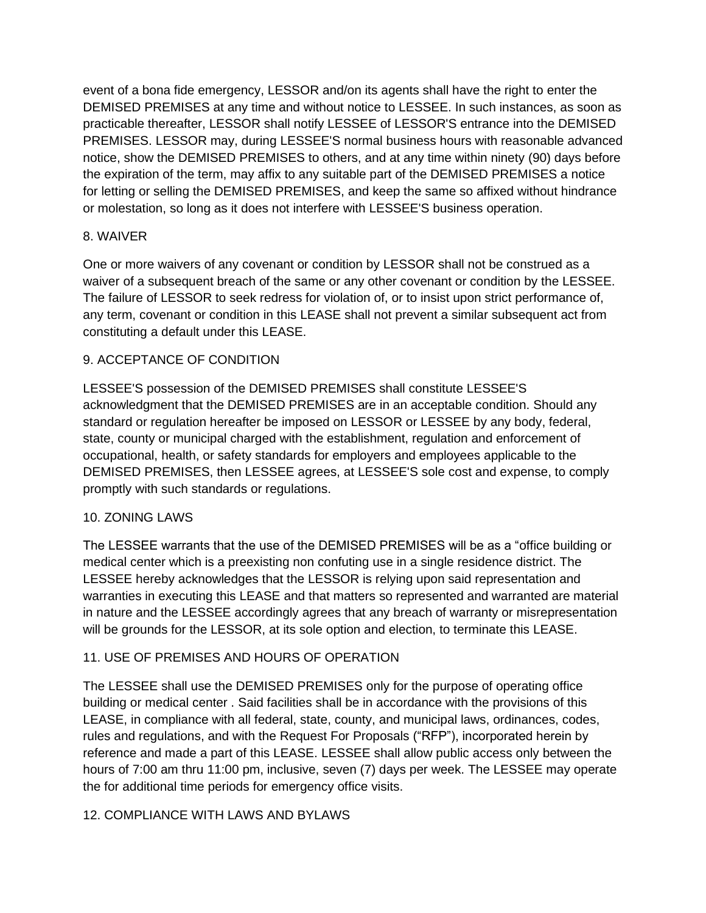event of a bona fide emergency, LESSOR and/on its agents shall have the right to enter the DEMISED PREMISES at any time and without notice to LESSEE. In such instances, as soon as practicable thereafter, LESSOR shall notify LESSEE of LESSOR'S entrance into the DEMISED PREMISES. LESSOR may, during LESSEE'S normal business hours with reasonable advanced notice, show the DEMISED PREMISES to others, and at any time within ninety (90) days before the expiration of the term, may affix to any suitable part of the DEMISED PREMISES a notice for letting or selling the DEMISED PREMISES, and keep the same so affixed without hindrance or molestation, so long as it does not interfere with LESSEE'S business operation.

# 8. WAIVER

One or more waivers of any covenant or condition by LESSOR shall not be construed as a waiver of a subsequent breach of the same or any other covenant or condition by the LESSEE. The failure of LESSOR to seek redress for violation of, or to insist upon strict performance of, any term, covenant or condition in this LEASE shall not prevent a similar subsequent act from constituting a default under this LEASE.

# 9. ACCEPTANCE OF CONDITION

LESSEE'S possession of the DEMISED PREMISES shall constitute LESSEE'S acknowledgment that the DEMISED PREMISES are in an acceptable condition. Should any standard or regulation hereafter be imposed on LESSOR or LESSEE by any body, federal, state, county or municipal charged with the establishment, regulation and enforcement of occupational, health, or safety standards for employers and employees applicable to the DEMISED PREMISES, then LESSEE agrees, at LESSEE'S sole cost and expense, to comply promptly with such standards or regulations.

# 10. ZONING LAWS

The LESSEE warrants that the use of the DEMISED PREMISES will be as a "office building or medical center which is a preexisting non confuting use in a single residence district. The LESSEE hereby acknowledges that the LESSOR is relying upon said representation and warranties in executing this LEASE and that matters so represented and warranted are material in nature and the LESSEE accordingly agrees that any breach of warranty or misrepresentation will be grounds for the LESSOR, at its sole option and election, to terminate this LEASE.

# 11. USE OF PREMISES AND HOURS OF OPERATION

The LESSEE shall use the DEMISED PREMISES only for the purpose of operating office building or medical center . Said facilities shall be in accordance with the provisions of this LEASE, in compliance with all federal, state, county, and municipal laws, ordinances, codes, rules and regulations, and with the Request For Proposals ("RFP"), incorporated herein by reference and made a part of this LEASE. LESSEE shall allow public access only between the hours of 7:00 am thru 11:00 pm, inclusive, seven (7) days per week. The LESSEE may operate the for additional time periods for emergency office visits.

# 12. COMPLIANCE WITH LAWS AND BYLAWS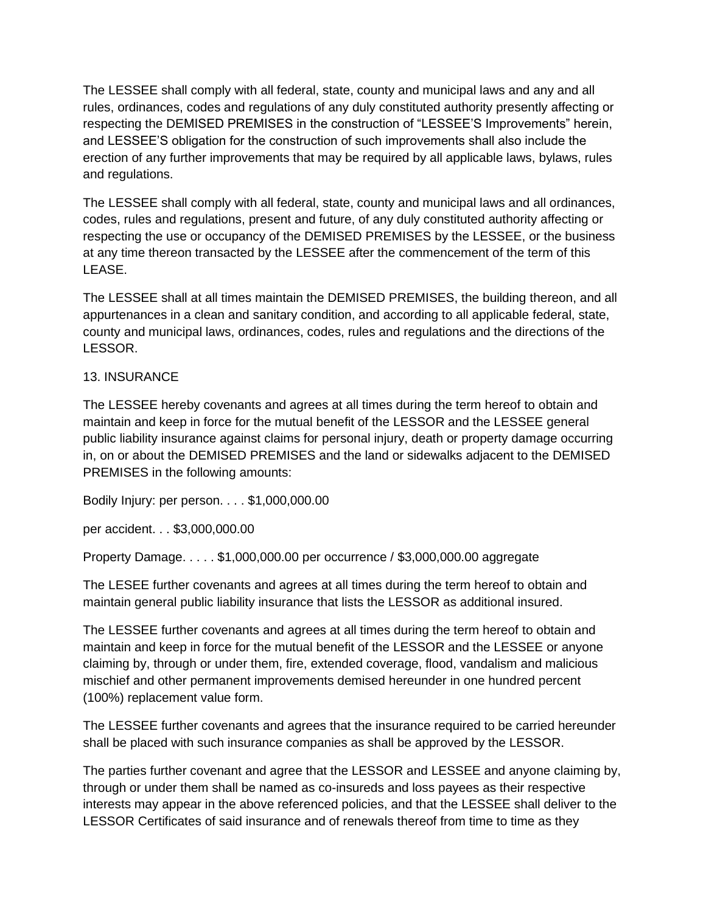The LESSEE shall comply with all federal, state, county and municipal laws and any and all rules, ordinances, codes and regulations of any duly constituted authority presently affecting or respecting the DEMISED PREMISES in the construction of "LESSEE'S Improvements" herein, and LESSEE'S obligation for the construction of such improvements shall also include the erection of any further improvements that may be required by all applicable laws, bylaws, rules and regulations.

The LESSEE shall comply with all federal, state, county and municipal laws and all ordinances, codes, rules and regulations, present and future, of any duly constituted authority affecting or respecting the use or occupancy of the DEMISED PREMISES by the LESSEE, or the business at any time thereon transacted by the LESSEE after the commencement of the term of this LEASE.

The LESSEE shall at all times maintain the DEMISED PREMISES, the building thereon, and all appurtenances in a clean and sanitary condition, and according to all applicable federal, state, county and municipal laws, ordinances, codes, rules and regulations and the directions of the LESSOR.

# 13. INSURANCE

The LESSEE hereby covenants and agrees at all times during the term hereof to obtain and maintain and keep in force for the mutual benefit of the LESSOR and the LESSEE general public liability insurance against claims for personal injury, death or property damage occurring in, on or about the DEMISED PREMISES and the land or sidewalks adjacent to the DEMISED PREMISES in the following amounts:

Bodily Injury: per person. . . . \$1,000,000.00

per accident. . . \$3,000,000.00

Property Damage. . . . . \$1,000,000.00 per occurrence / \$3,000,000.00 aggregate

The LESEE further covenants and agrees at all times during the term hereof to obtain and maintain general public liability insurance that lists the LESSOR as additional insured.

The LESSEE further covenants and agrees at all times during the term hereof to obtain and maintain and keep in force for the mutual benefit of the LESSOR and the LESSEE or anyone claiming by, through or under them, fire, extended coverage, flood, vandalism and malicious mischief and other permanent improvements demised hereunder in one hundred percent (100%) replacement value form.

The LESSEE further covenants and agrees that the insurance required to be carried hereunder shall be placed with such insurance companies as shall be approved by the LESSOR.

The parties further covenant and agree that the LESSOR and LESSEE and anyone claiming by, through or under them shall be named as co-insureds and loss payees as their respective interests may appear in the above referenced policies, and that the LESSEE shall deliver to the LESSOR Certificates of said insurance and of renewals thereof from time to time as they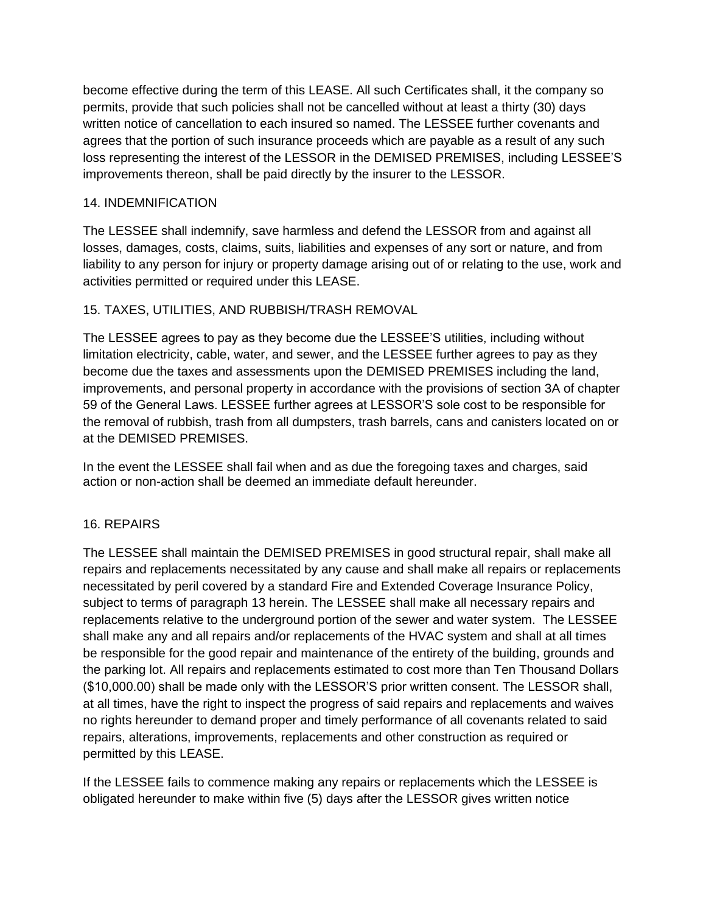become effective during the term of this LEASE. All such Certificates shall, it the company so permits, provide that such policies shall not be cancelled without at least a thirty (30) days written notice of cancellation to each insured so named. The LESSEE further covenants and agrees that the portion of such insurance proceeds which are payable as a result of any such loss representing the interest of the LESSOR in the DEMISED PREMISES, including LESSEE'S improvements thereon, shall be paid directly by the insurer to the LESSOR.

## 14. INDEMNIFICATION

The LESSEE shall indemnify, save harmless and defend the LESSOR from and against all losses, damages, costs, claims, suits, liabilities and expenses of any sort or nature, and from liability to any person for injury or property damage arising out of or relating to the use, work and activities permitted or required under this LEASE.

# 15. TAXES, UTILITIES, AND RUBBISH/TRASH REMOVAL

The LESSEE agrees to pay as they become due the LESSEE'S utilities, including without limitation electricity, cable, water, and sewer, and the LESSEE further agrees to pay as they become due the taxes and assessments upon the DEMISED PREMISES including the land, improvements, and personal property in accordance with the provisions of section 3A of chapter 59 of the General Laws. LESSEE further agrees at LESSOR'S sole cost to be responsible for the removal of rubbish, trash from all dumpsters, trash barrels, cans and canisters located on or at the DEMISED PREMISES.

In the event the LESSEE shall fail when and as due the foregoing taxes and charges, said action or non-action shall be deemed an immediate default hereunder.

### 16. REPAIRS

The LESSEE shall maintain the DEMISED PREMISES in good structural repair, shall make all repairs and replacements necessitated by any cause and shall make all repairs or replacements necessitated by peril covered by a standard Fire and Extended Coverage Insurance Policy, subject to terms of paragraph 13 herein. The LESSEE shall make all necessary repairs and replacements relative to the underground portion of the sewer and water system. The LESSEE shall make any and all repairs and/or replacements of the HVAC system and shall at all times be responsible for the good repair and maintenance of the entirety of the building, grounds and the parking lot. All repairs and replacements estimated to cost more than Ten Thousand Dollars (\$10,000.00) shall be made only with the LESSOR'S prior written consent. The LESSOR shall, at all times, have the right to inspect the progress of said repairs and replacements and waives no rights hereunder to demand proper and timely performance of all covenants related to said repairs, alterations, improvements, replacements and other construction as required or permitted by this LEASE.

If the LESSEE fails to commence making any repairs or replacements which the LESSEE is obligated hereunder to make within five (5) days after the LESSOR gives written notice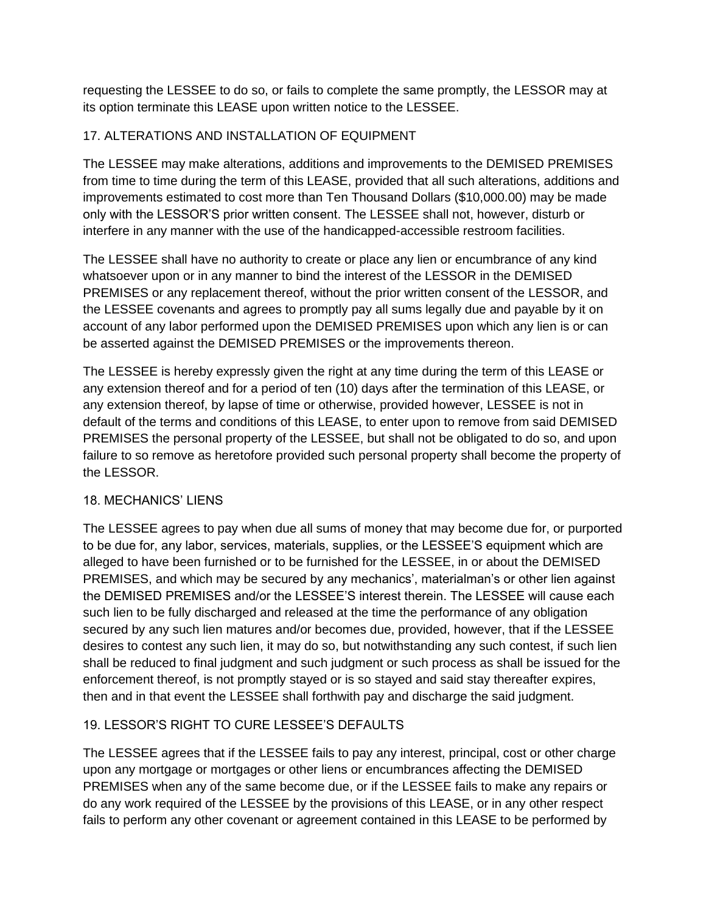requesting the LESSEE to do so, or fails to complete the same promptly, the LESSOR may at its option terminate this LEASE upon written notice to the LESSEE.

# 17. ALTERATIONS AND INSTALLATION OF EQUIPMENT

The LESSEE may make alterations, additions and improvements to the DEMISED PREMISES from time to time during the term of this LEASE, provided that all such alterations, additions and improvements estimated to cost more than Ten Thousand Dollars (\$10,000.00) may be made only with the LESSOR'S prior written consent. The LESSEE shall not, however, disturb or interfere in any manner with the use of the handicapped-accessible restroom facilities.

The LESSEE shall have no authority to create or place any lien or encumbrance of any kind whatsoever upon or in any manner to bind the interest of the LESSOR in the DEMISED PREMISES or any replacement thereof, without the prior written consent of the LESSOR, and the LESSEE covenants and agrees to promptly pay all sums legally due and payable by it on account of any labor performed upon the DEMISED PREMISES upon which any lien is or can be asserted against the DEMISED PREMISES or the improvements thereon.

The LESSEE is hereby expressly given the right at any time during the term of this LEASE or any extension thereof and for a period of ten (10) days after the termination of this LEASE, or any extension thereof, by lapse of time or otherwise, provided however, LESSEE is not in default of the terms and conditions of this LEASE, to enter upon to remove from said DEMISED PREMISES the personal property of the LESSEE, but shall not be obligated to do so, and upon failure to so remove as heretofore provided such personal property shall become the property of the LESSOR.

# 18. MECHANICS' LIENS

The LESSEE agrees to pay when due all sums of money that may become due for, or purported to be due for, any labor, services, materials, supplies, or the LESSEE'S equipment which are alleged to have been furnished or to be furnished for the LESSEE, in or about the DEMISED PREMISES, and which may be secured by any mechanics', materialman's or other lien against the DEMISED PREMISES and/or the LESSEE'S interest therein. The LESSEE will cause each such lien to be fully discharged and released at the time the performance of any obligation secured by any such lien matures and/or becomes due, provided, however, that if the LESSEE desires to contest any such lien, it may do so, but notwithstanding any such contest, if such lien shall be reduced to final judgment and such judgment or such process as shall be issued for the enforcement thereof, is not promptly stayed or is so stayed and said stay thereafter expires, then and in that event the LESSEE shall forthwith pay and discharge the said judgment.

# 19. LESSOR'S RIGHT TO CURE LESSEE'S DEFAULTS

The LESSEE agrees that if the LESSEE fails to pay any interest, principal, cost or other charge upon any mortgage or mortgages or other liens or encumbrances affecting the DEMISED PREMISES when any of the same become due, or if the LESSEE fails to make any repairs or do any work required of the LESSEE by the provisions of this LEASE, or in any other respect fails to perform any other covenant or agreement contained in this LEASE to be performed by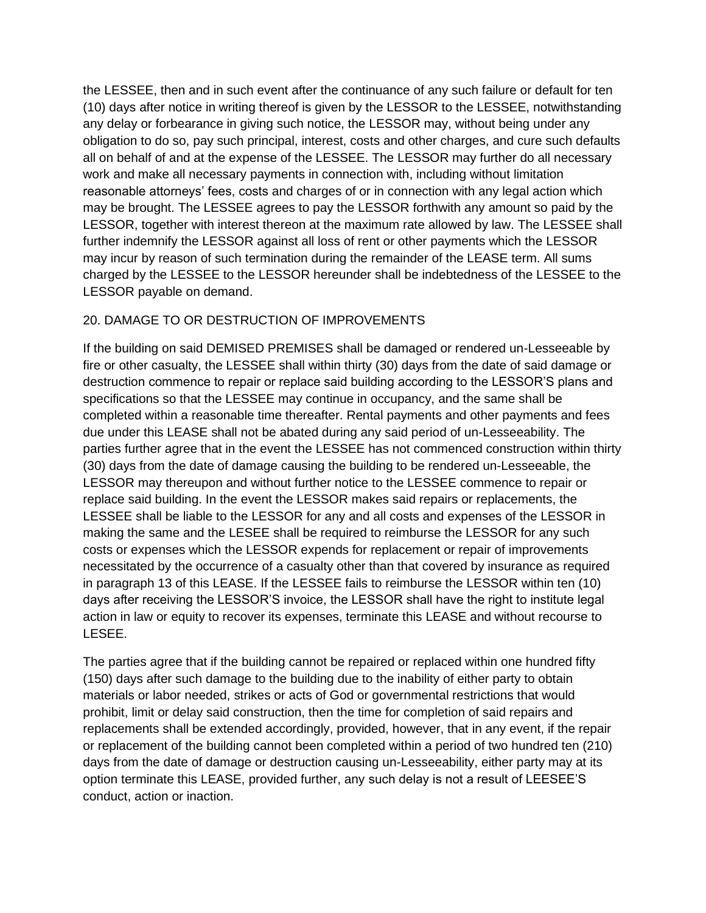the LESSEE, then and in such event after the continuance of any such failure or default for ten (10) days after notice in writing thereof is given by the LESSOR to the LESSEE, notwithstanding any delay or forbearance in giving such notice, the LESSOR may, without being under any obligation to do so, pay such principal, interest, costs and other charges, and cure such defaults all on behalf of and at the expense of the LESSEE. The LESSOR may further do all necessary work and make all necessary payments in connection with, including without limitation reasonable attorneys' fees, costs and charges of or in connection with any legal action which may be brought. The LESSEE agrees to pay the LESSOR forthwith any amount so paid by the LESSOR, together with interest thereon at the maximum rate allowed by law. The LESSEE shall further indemnify the LESSOR against all loss of rent or other payments which the LESSOR may incur by reason of such termination during the remainder of the LEASE term. All sums charged by the LESSEE to the LESSOR hereunder shall be indebtedness of the LESSEE to the LESSOR payable on demand.

## 20. DAMAGE TO OR DESTRUCTION OF IMPROVEMENTS

If the building on said DEMISED PREMISES shall be damaged or rendered un-Lesseeable by fire or other casualty, the LESSEE shall within thirty (30) days from the date of said damage or destruction commence to repair or replace said building according to the LESSOR'S plans and specifications so that the LESSEE may continue in occupancy, and the same shall be completed within a reasonable time thereafter. Rental payments and other payments and fees due under this LEASE shall not be abated during any said period of un-Lesseeability. The parties further agree that in the event the LESSEE has not commenced construction within thirty (30) days from the date of damage causing the building to be rendered un-Lesseeable, the LESSOR may thereupon and without further notice to the LESSEE commence to repair or replace said building. In the event the LESSOR makes said repairs or replacements, the LESSEE shall be liable to the LESSOR for any and all costs and expenses of the LESSOR in making the same and the LESEE shall be required to reimburse the LESSOR for any such costs or expenses which the LESSOR expends for replacement or repair of improvements necessitated by the occurrence of a casualty other than that covered by insurance as required in paragraph 13 of this LEASE. If the LESSEE fails to reimburse the LESSOR within ten (10) days after receiving the LESSOR'S invoice, the LESSOR shall have the right to institute legal action in law or equity to recover its expenses, terminate this LEASE and without recourse to LESEE.

The parties agree that if the building cannot be repaired or replaced within one hundred fifty (150) days after such damage to the building due to the inability of either party to obtain materials or labor needed, strikes or acts of God or governmental restrictions that would prohibit, limit or delay said construction, then the time for completion of said repairs and replacements shall be extended accordingly, provided, however, that in any event, if the repair or replacement of the building cannot been completed within a period of two hundred ten (210) days from the date of damage or destruction causing un-Lesseeability, either party may at its option terminate this LEASE, provided further, any such delay is not a result of LEESEE'S conduct, action or inaction.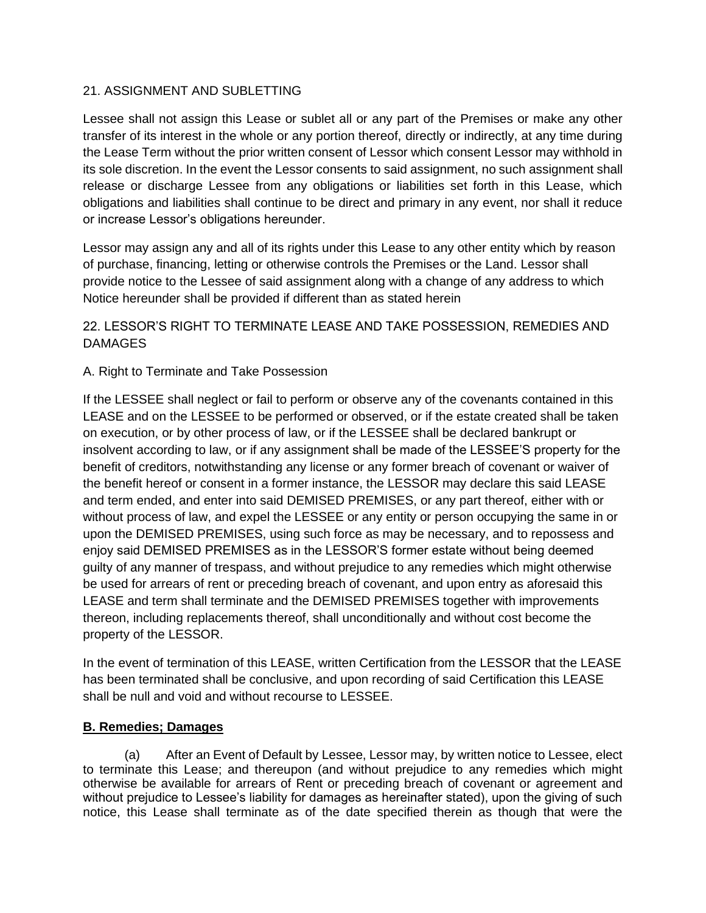### 21. ASSIGNMENT AND SUBLETTING

Lessee shall not assign this Lease or sublet all or any part of the Premises or make any other transfer of its interest in the whole or any portion thereof, directly or indirectly, at any time during the Lease Term without the prior written consent of Lessor which consent Lessor may withhold in its sole discretion. In the event the Lessor consents to said assignment, no such assignment shall release or discharge Lessee from any obligations or liabilities set forth in this Lease, which obligations and liabilities shall continue to be direct and primary in any event, nor shall it reduce or increase Lessor's obligations hereunder.

Lessor may assign any and all of its rights under this Lease to any other entity which by reason of purchase, financing, letting or otherwise controls the Premises or the Land. Lessor shall provide notice to the Lessee of said assignment along with a change of any address to which Notice hereunder shall be provided if different than as stated herein

# 22. LESSOR'S RIGHT TO TERMINATE LEASE AND TAKE POSSESSION, REMEDIES AND DAMAGES

# A. Right to Terminate and Take Possession

If the LESSEE shall neglect or fail to perform or observe any of the covenants contained in this LEASE and on the LESSEE to be performed or observed, or if the estate created shall be taken on execution, or by other process of law, or if the LESSEE shall be declared bankrupt or insolvent according to law, or if any assignment shall be made of the LESSEE'S property for the benefit of creditors, notwithstanding any license or any former breach of covenant or waiver of the benefit hereof or consent in a former instance, the LESSOR may declare this said LEASE and term ended, and enter into said DEMISED PREMISES, or any part thereof, either with or without process of law, and expel the LESSEE or any entity or person occupying the same in or upon the DEMISED PREMISES, using such force as may be necessary, and to repossess and enjoy said DEMISED PREMISES as in the LESSOR'S former estate without being deemed guilty of any manner of trespass, and without prejudice to any remedies which might otherwise be used for arrears of rent or preceding breach of covenant, and upon entry as aforesaid this LEASE and term shall terminate and the DEMISED PREMISES together with improvements thereon, including replacements thereof, shall unconditionally and without cost become the property of the LESSOR.

In the event of termination of this LEASE, written Certification from the LESSOR that the LEASE has been terminated shall be conclusive, and upon recording of said Certification this LEASE shall be null and void and without recourse to LESSEE.

# **B. Remedies; Damages**

(a) After an Event of Default by Lessee, Lessor may, by written notice to Lessee, elect to terminate this Lease; and thereupon (and without prejudice to any remedies which might otherwise be available for arrears of Rent or preceding breach of covenant or agreement and without prejudice to Lessee's liability for damages as hereinafter stated), upon the giving of such notice, this Lease shall terminate as of the date specified therein as though that were the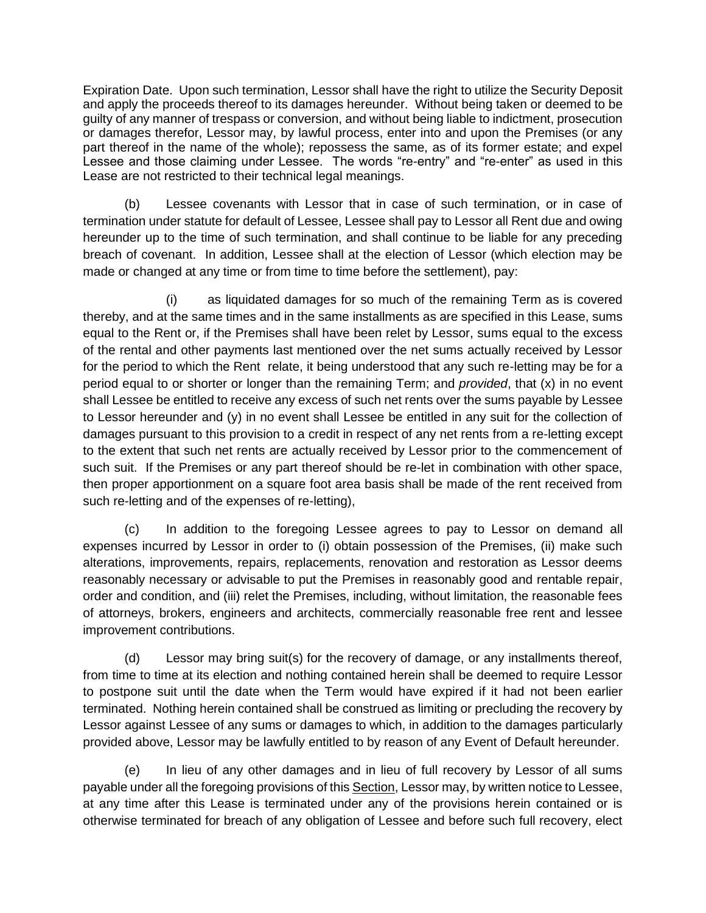Expiration Date. Upon such termination, Lessor shall have the right to utilize the Security Deposit and apply the proceeds thereof to its damages hereunder. Without being taken or deemed to be guilty of any manner of trespass or conversion, and without being liable to indictment, prosecution or damages therefor, Lessor may, by lawful process, enter into and upon the Premises (or any part thereof in the name of the whole); repossess the same, as of its former estate; and expel Lessee and those claiming under Lessee. The words "re-entry" and "re-enter" as used in this Lease are not restricted to their technical legal meanings.

(b) Lessee covenants with Lessor that in case of such termination, or in case of termination under statute for default of Lessee, Lessee shall pay to Lessor all Rent due and owing hereunder up to the time of such termination, and shall continue to be liable for any preceding breach of covenant. In addition, Lessee shall at the election of Lessor (which election may be made or changed at any time or from time to time before the settlement), pay:

(i) as liquidated damages for so much of the remaining Term as is covered thereby, and at the same times and in the same installments as are specified in this Lease, sums equal to the Rent or, if the Premises shall have been relet by Lessor, sums equal to the excess of the rental and other payments last mentioned over the net sums actually received by Lessor for the period to which the Rent relate, it being understood that any such re-letting may be for a period equal to or shorter or longer than the remaining Term; and *provided*, that (x) in no event shall Lessee be entitled to receive any excess of such net rents over the sums payable by Lessee to Lessor hereunder and (y) in no event shall Lessee be entitled in any suit for the collection of damages pursuant to this provision to a credit in respect of any net rents from a re-letting except to the extent that such net rents are actually received by Lessor prior to the commencement of such suit. If the Premises or any part thereof should be re-let in combination with other space, then proper apportionment on a square foot area basis shall be made of the rent received from such re-letting and of the expenses of re-letting),

(c) In addition to the foregoing Lessee agrees to pay to Lessor on demand all expenses incurred by Lessor in order to (i) obtain possession of the Premises, (ii) make such alterations, improvements, repairs, replacements, renovation and restoration as Lessor deems reasonably necessary or advisable to put the Premises in reasonably good and rentable repair, order and condition, and (iii) relet the Premises, including, without limitation, the reasonable fees of attorneys, brokers, engineers and architects, commercially reasonable free rent and lessee improvement contributions.

(d) Lessor may bring suit(s) for the recovery of damage, or any installments thereof, from time to time at its election and nothing contained herein shall be deemed to require Lessor to postpone suit until the date when the Term would have expired if it had not been earlier terminated. Nothing herein contained shall be construed as limiting or precluding the recovery by Lessor against Lessee of any sums or damages to which, in addition to the damages particularly provided above, Lessor may be lawfully entitled to by reason of any Event of Default hereunder.

(e) In lieu of any other damages and in lieu of full recovery by Lessor of all sums payable under all the foregoing provisions of this Section, Lessor may, by written notice to Lessee, at any time after this Lease is terminated under any of the provisions herein contained or is otherwise terminated for breach of any obligation of Lessee and before such full recovery, elect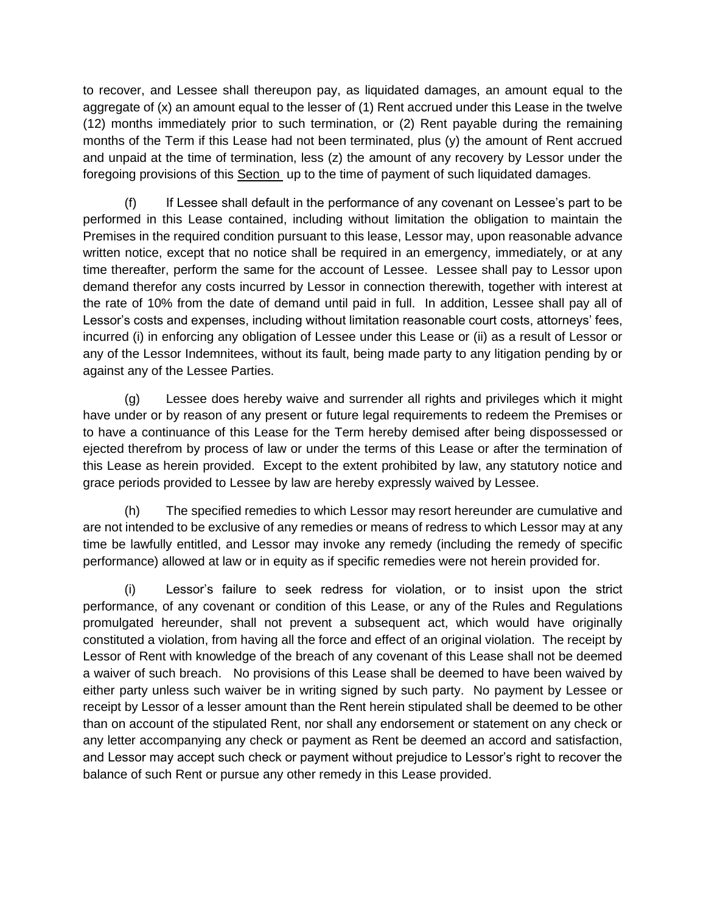to recover, and Lessee shall thereupon pay, as liquidated damages, an amount equal to the aggregate of (x) an amount equal to the lesser of (1) Rent accrued under this Lease in the twelve (12) months immediately prior to such termination, or (2) Rent payable during the remaining months of the Term if this Lease had not been terminated, plus (y) the amount of Rent accrued and unpaid at the time of termination, less (z) the amount of any recovery by Lessor under the foregoing provisions of this Section up to the time of payment of such liquidated damages.

(f) If Lessee shall default in the performance of any covenant on Lessee's part to be performed in this Lease contained, including without limitation the obligation to maintain the Premises in the required condition pursuant to this lease, Lessor may, upon reasonable advance written notice, except that no notice shall be required in an emergency, immediately, or at any time thereafter, perform the same for the account of Lessee. Lessee shall pay to Lessor upon demand therefor any costs incurred by Lessor in connection therewith, together with interest at the rate of 10% from the date of demand until paid in full. In addition, Lessee shall pay all of Lessor's costs and expenses, including without limitation reasonable court costs, attorneys' fees, incurred (i) in enforcing any obligation of Lessee under this Lease or (ii) as a result of Lessor or any of the Lessor Indemnitees, without its fault, being made party to any litigation pending by or against any of the Lessee Parties.

(g) Lessee does hereby waive and surrender all rights and privileges which it might have under or by reason of any present or future legal requirements to redeem the Premises or to have a continuance of this Lease for the Term hereby demised after being dispossessed or ejected therefrom by process of law or under the terms of this Lease or after the termination of this Lease as herein provided. Except to the extent prohibited by law, any statutory notice and grace periods provided to Lessee by law are hereby expressly waived by Lessee.

(h) The specified remedies to which Lessor may resort hereunder are cumulative and are not intended to be exclusive of any remedies or means of redress to which Lessor may at any time be lawfully entitled, and Lessor may invoke any remedy (including the remedy of specific performance) allowed at law or in equity as if specific remedies were not herein provided for.

(i) Lessor's failure to seek redress for violation, or to insist upon the strict performance, of any covenant or condition of this Lease, or any of the Rules and Regulations promulgated hereunder, shall not prevent a subsequent act, which would have originally constituted a violation, from having all the force and effect of an original violation. The receipt by Lessor of Rent with knowledge of the breach of any covenant of this Lease shall not be deemed a waiver of such breach. No provisions of this Lease shall be deemed to have been waived by either party unless such waiver be in writing signed by such party. No payment by Lessee or receipt by Lessor of a lesser amount than the Rent herein stipulated shall be deemed to be other than on account of the stipulated Rent, nor shall any endorsement or statement on any check or any letter accompanying any check or payment as Rent be deemed an accord and satisfaction, and Lessor may accept such check or payment without prejudice to Lessor's right to recover the balance of such Rent or pursue any other remedy in this Lease provided.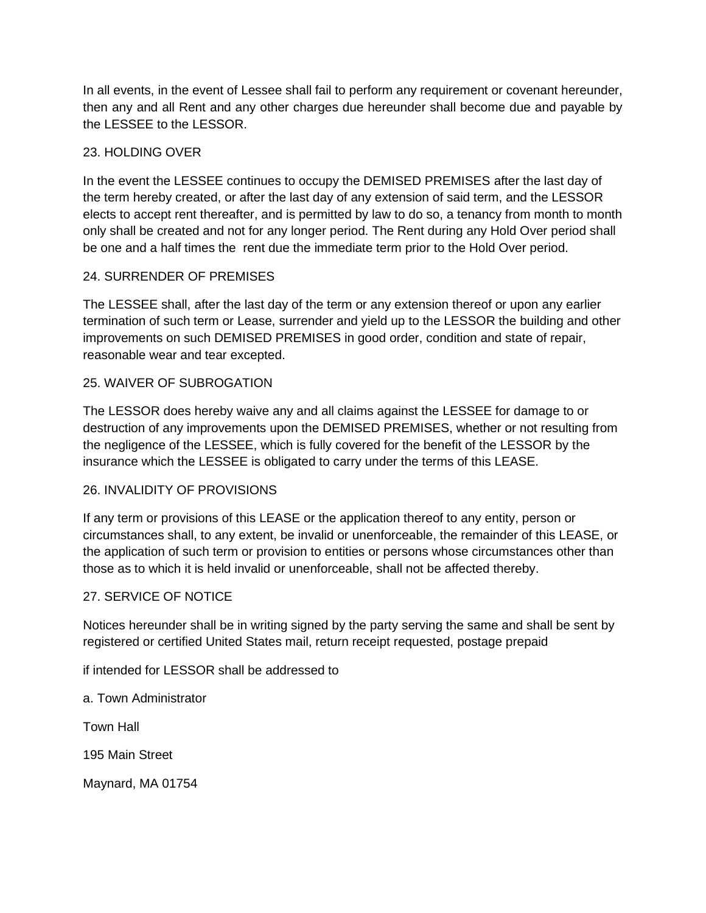In all events, in the event of Lessee shall fail to perform any requirement or covenant hereunder, then any and all Rent and any other charges due hereunder shall become due and payable by the LESSEE to the LESSOR.

# 23. HOLDING OVER

In the event the LESSEE continues to occupy the DEMISED PREMISES after the last day of the term hereby created, or after the last day of any extension of said term, and the LESSOR elects to accept rent thereafter, and is permitted by law to do so, a tenancy from month to month only shall be created and not for any longer period. The Rent during any Hold Over period shall be one and a half times the rent due the immediate term prior to the Hold Over period.

## 24. SURRENDER OF PREMISES

The LESSEE shall, after the last day of the term or any extension thereof or upon any earlier termination of such term or Lease, surrender and yield up to the LESSOR the building and other improvements on such DEMISED PREMISES in good order, condition and state of repair, reasonable wear and tear excepted.

## 25. WAIVER OF SUBROGATION

The LESSOR does hereby waive any and all claims against the LESSEE for damage to or destruction of any improvements upon the DEMISED PREMISES, whether or not resulting from the negligence of the LESSEE, which is fully covered for the benefit of the LESSOR by the insurance which the LESSEE is obligated to carry under the terms of this LEASE.

### 26. INVALIDITY OF PROVISIONS

If any term or provisions of this LEASE or the application thereof to any entity, person or circumstances shall, to any extent, be invalid or unenforceable, the remainder of this LEASE, or the application of such term or provision to entities or persons whose circumstances other than those as to which it is held invalid or unenforceable, shall not be affected thereby.

### 27. SERVICE OF NOTICE

Notices hereunder shall be in writing signed by the party serving the same and shall be sent by registered or certified United States mail, return receipt requested, postage prepaid

if intended for LESSOR shall be addressed to

a. Town Administrator

Town Hall

195 Main Street

Maynard, MA 01754